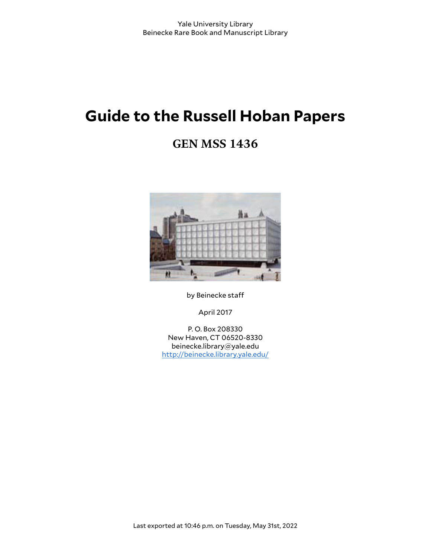# **Guide to the Russell Hoban Papers**

# **GEN MSS 1436**



by Beinecke staff

April 2017

P. O. Box 208330 New Haven, CT 06520-8330 beinecke.library@yale.edu <http://beinecke.library.yale.edu/>

Last exported at 10:46 p.m. on Tuesday, May 31st, 2022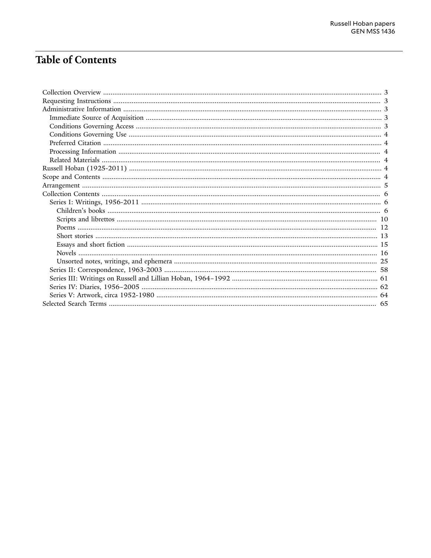# **Table of Contents**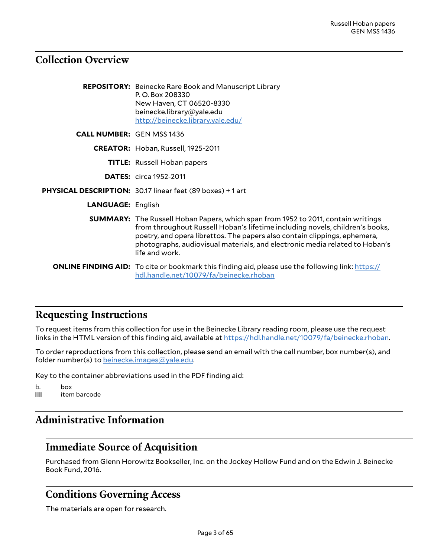## <span id="page-2-0"></span>**Collection Overview**

|                                  | <b>REPOSITORY:</b> Beinecke Rare Book and Manuscript Library<br>P.O. Box 208330<br>New Haven, CT 06520-8330<br>beinecke.library@yale.edu<br>http://beinecke.library.yale.edu/                                                                                                                                                                          |
|----------------------------------|--------------------------------------------------------------------------------------------------------------------------------------------------------------------------------------------------------------------------------------------------------------------------------------------------------------------------------------------------------|
| <b>CALL NUMBER: GEN MSS 1436</b> |                                                                                                                                                                                                                                                                                                                                                        |
|                                  | CREATOR: Hoban, Russell, 1925-2011                                                                                                                                                                                                                                                                                                                     |
|                                  | <b>TITLE:</b> Russell Hoban papers                                                                                                                                                                                                                                                                                                                     |
|                                  | <b>DATES:</b> circa 1952-2011                                                                                                                                                                                                                                                                                                                          |
|                                  | PHYSICAL DESCRIPTION: 30.17 linear feet (89 boxes) + 1 art                                                                                                                                                                                                                                                                                             |
| <b>LANGUAGE: English</b>         |                                                                                                                                                                                                                                                                                                                                                        |
|                                  | <b>SUMMARY:</b> The Russell Hoban Papers, which span from 1952 to 2011, contain writings<br>from throughout Russell Hoban's lifetime including novels, children's books,<br>poetry, and opera librettos. The papers also contain clippings, ephemera,<br>photographs, audiovisual materials, and electronic media related to Hoban's<br>life and work. |
|                                  | <b>ONLINE FINDING AID:</b> To cite or bookmark this finding aid, please use the following link: https://<br>hdl.handle.net/10079/fa/beinecke.rhoban                                                                                                                                                                                                    |

### <span id="page-2-1"></span>**Requesting Instructions**

To request items from this collection for use in the Beinecke Library reading room, please use the request links in the HTML version of this finding aid, available at [https://hdl.handle.net/10079/fa/beinecke.rhoban.](https://hdl.handle.net/10079/fa/beinecke.rhoban)

To order reproductions from this collection, please send an email with the call number, box number(s), and folder number(s) to [beinecke.images@yale.edu.](mailto:beinecke.images@yale.edu)

Key to the container abbreviations used in the PDF finding aid:

```
b. box
iffull item barcode
```
## <span id="page-2-2"></span>**Administrative Information**

### <span id="page-2-3"></span>**Immediate Source of Acquisition**

Purchased from Glenn Horowitz Bookseller, Inc. on the Jockey Hollow Fund and on the Edwin J. Beinecke Book Fund, 2016.

### <span id="page-2-4"></span>**Conditions Governing Access**

The materials are open for research.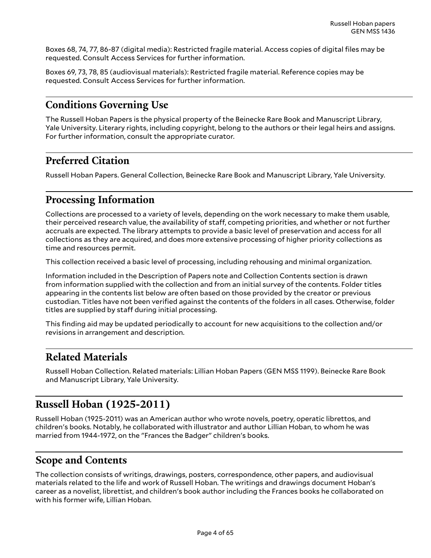Boxes 68, 74, 77, 86-87 (digital media): Restricted fragile material. Access copies of digital files may be requested. Consult Access Services for further information.

Boxes 69, 73, 78, 85 (audiovisual materials): Restricted fragile material. Reference copies may be requested. Consult Access Services for further information.

## <span id="page-3-0"></span>**Conditions Governing Use**

The Russell Hoban Papers is the physical property of the Beinecke Rare Book and Manuscript Library, Yale University. Literary rights, including copyright, belong to the authors or their legal heirs and assigns. For further information, consult the appropriate curator.

## <span id="page-3-1"></span>**Preferred Citation**

Russell Hoban Papers. General Collection, Beinecke Rare Book and Manuscript Library, Yale University.

## <span id="page-3-2"></span>**Processing Information**

Collections are processed to a variety of levels, depending on the work necessary to make them usable, their perceived research value, the availability of staff, competing priorities, and whether or not further accruals are expected. The library attempts to provide a basic level of preservation and access for all collections as they are acquired, and does more extensive processing of higher priority collections as time and resources permit.

This collection received a basic level of processing, including rehousing and minimal organization.

Information included in the Description of Papers note and Collection Contents section is drawn from information supplied with the collection and from an initial survey of the contents. Folder titles appearing in the contents list below are often based on those provided by the creator or previous custodian. Titles have not been verified against the contents of the folders in all cases. Otherwise, folder titles are supplied by staff during initial processing.

This finding aid may be updated periodically to account for new acquisitions to the collection and/or revisions in arrangement and description.

### <span id="page-3-3"></span>**Related Materials**

Russell Hoban Collection. Related materials: Lillian Hoban Papers (GEN MSS 1199). Beinecke Rare Book and Manuscript Library, Yale University.

## <span id="page-3-4"></span>**Russell Hoban (1925-2011)**

Russell Hoban (1925-2011) was an American author who wrote novels, poetry, operatic librettos, and children's books. Notably, he collaborated with illustrator and author Lillian Hoban, to whom he was married from 1944-1972, on the "Frances the Badger" children's books.

## <span id="page-3-5"></span>**Scope and Contents**

The collection consists of writings, drawings, posters, correspondence, other papers, and audiovisual materials related to the life and work of Russell Hoban. The writings and drawings document Hoban's career as a novelist, librettist, and children's book author including the Frances books he collaborated on with his former wife, Lillian Hoban.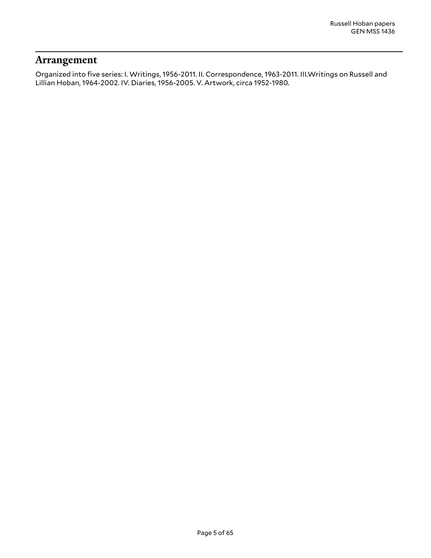### <span id="page-4-0"></span>**Arrangement**

Organized into five series: I. Writings, 1956-2011. II. Correspondence, 1963-2011. III.Writings on Russell and Lillian Hoban, 1964-2002. IV. Diaries, 1956-2005. V. Artwork, circa 1952-1980.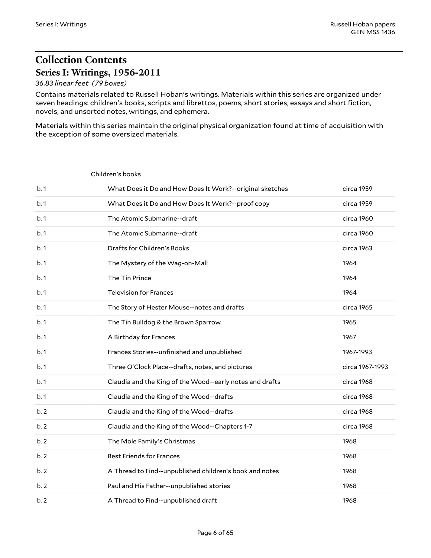## <span id="page-5-0"></span>**Collection Contents Series I: Writings, 1956-2011**

<span id="page-5-2"></span>Children's books

#### <span id="page-5-1"></span>*36.83 linear feet (79 boxes)*

Contains materials related to Russell Hoban's writings. Materials within this series are organized under seven headings: children's books, scripts and librettos, poems, short stories, essays and short fiction, novels, and unsorted notes, writings, and ephemera.

Materials within this series maintain the original physical organization found at time of acquisition with the exception of some oversized materials.

| b.1 | What Does it Do and How Does It Work?--original sketches | circa 1959      |
|-----|----------------------------------------------------------|-----------------|
| b.1 | What Does it Do and How Does It Work?--proof copy        | circa 1959      |
| b.1 | The Atomic Submarine--draft                              | circa 1960      |
| b.1 | The Atomic Submarine--draft                              | circa 1960      |
| b.1 | Drafts for Children's Books                              | circa 1963      |
| b.1 | The Mystery of the Wag-on-Mall                           | 1964            |
| b.1 | The Tin Prince                                           | 1964            |
| b.1 | <b>Television for Frances</b>                            | 1964            |
| b.1 | The Story of Hester Mouse--notes and drafts              | circa 1965      |
| b.1 | The Tin Bulldog & the Brown Sparrow                      | 1965            |
| b.1 | A Birthday for Frances                                   | 1967            |
| b.1 | Frances Stories--unfinished and unpublished              | 1967-1993       |
| b.1 | Three O'Clock Place--drafts, notes, and pictures         | circa 1967-1993 |
| b.1 | Claudia and the King of the Wood--early notes and drafts | circa 1968      |
| b.1 | Claudia and the King of the Wood--drafts                 | circa 1968      |
| b.2 | Claudia and the King of the Wood--drafts                 | circa 1968      |
| b.2 | Claudia and the King of the Wood--Chapters 1-7           | circa 1968      |
| b.2 | The Mole Family's Christmas                              | 1968            |
| b.2 | <b>Best Friends for Frances</b>                          | 1968            |
| b.2 | A Thread to Find--unpublished children's book and notes  | 1968            |
| b.2 | Paul and His Father--unpublished stories                 | 1968            |
| b.2 | A Thread to Find--unpublished draft                      | 1968            |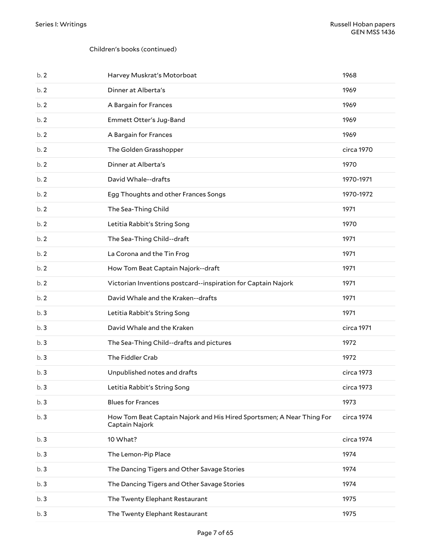| b.2 | Harvey Muskrat's Motorboat                                                              | 1968       |
|-----|-----------------------------------------------------------------------------------------|------------|
| b.2 | Dinner at Alberta's                                                                     | 1969       |
| b.2 | A Bargain for Frances                                                                   | 1969       |
| b.2 | Emmett Otter's Jug-Band                                                                 | 1969       |
| b.2 | A Bargain for Frances                                                                   | 1969       |
| b.2 | The Golden Grasshopper                                                                  | circa 1970 |
| b.2 | Dinner at Alberta's                                                                     | 1970       |
| b.2 | David Whale--drafts                                                                     | 1970-1971  |
| b.2 | Egg Thoughts and other Frances Songs                                                    | 1970-1972  |
| b.2 | The Sea-Thing Child                                                                     | 1971       |
| b.2 | Letitia Rabbit's String Song                                                            | 1970       |
| b.2 | The Sea-Thing Child--draft                                                              | 1971       |
| b.2 | La Corona and the Tin Frog                                                              | 1971       |
| b.2 | How Tom Beat Captain Najork--draft                                                      | 1971       |
| b.2 | Victorian Inventions postcard--inspiration for Captain Najork                           | 1971       |
| b.2 | David Whale and the Kraken--drafts                                                      | 1971       |
| b.3 | Letitia Rabbit's String Song                                                            | 1971       |
| b.3 | David Whale and the Kraken                                                              | circa 1971 |
| b.3 | The Sea-Thing Child--drafts and pictures                                                | 1972       |
| b.3 | The Fiddler Crab                                                                        | 1972       |
| b.3 | Unpublished notes and drafts                                                            | circa 1973 |
| b.3 | Letitia Rabbit's String Song                                                            | circa 1973 |
| b.3 | <b>Blues for Frances</b>                                                                | 1973       |
| b.3 | How Tom Beat Captain Najork and His Hired Sportsmen; A Near Thing For<br>Captain Najork | circa 1974 |
| b.3 | 10 What?                                                                                | circa 1974 |
| b.3 | The Lemon-Pip Place                                                                     | 1974       |
| b.3 | The Dancing Tigers and Other Savage Stories                                             | 1974       |
| b.3 | The Dancing Tigers and Other Savage Stories                                             | 1974       |
| b.3 | The Twenty Elephant Restaurant                                                          | 1975       |
| b.3 | The Twenty Elephant Restaurant                                                          | 1975       |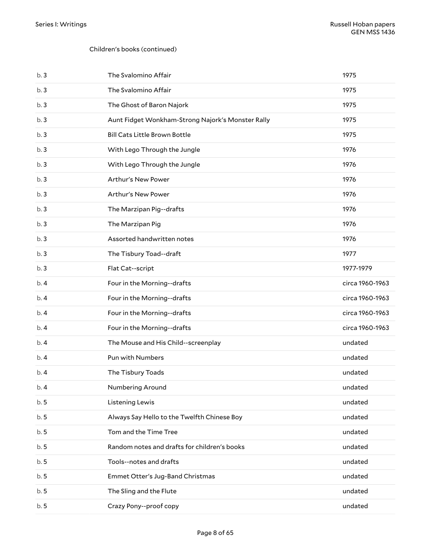| b.3  | The Svalomino Affair                              | 1975            |
|------|---------------------------------------------------|-----------------|
| b.3  | The Svalomino Affair                              | 1975            |
| b.3  | The Ghost of Baron Najork                         | 1975            |
| b.3  | Aunt Fidget Wonkham-Strong Najork's Monster Rally | 1975            |
| b.3  | <b>Bill Cats Little Brown Bottle</b>              | 1975            |
| b.3  | With Lego Through the Jungle                      | 1976            |
| b.3  | With Lego Through the Jungle                      | 1976            |
| b.3  | Arthur's New Power                                | 1976            |
| b.3  | Arthur's New Power                                | 1976            |
| b.3  | The Marzipan Pig--drafts                          | 1976            |
| b.3  | The Marzipan Pig                                  | 1976            |
| b.3  | Assorted handwritten notes                        | 1976            |
| b.3  | The Tisbury Toad--draft                           | 1977            |
| b.3  | Flat Cat--script                                  | 1977-1979       |
| b.4  | Four in the Morning--drafts                       | circa 1960-1963 |
| b. 4 | Four in the Morning--drafts                       | circa 1960-1963 |
| b.4  | Four in the Morning--drafts                       | circa 1960-1963 |
| b.4  | Four in the Morning--drafts                       | circa 1960-1963 |
| b.4  | The Mouse and His Child--screenplay               | undated         |
| b. 4 | Pun with Numbers                                  | undated         |
| b.4  | The Tisbury Toads                                 | undated         |
| b.4  | Numbering Around                                  | undated         |
| b.5  | Listening Lewis                                   | undated         |
| b.5  | Always Say Hello to the Twelfth Chinese Boy       | undated         |
| b.5  | Tom and the Time Tree                             | undated         |
| b.5  | Random notes and drafts for children's books      | undated         |
| b.5  | Tools--notes and drafts                           | undated         |
| b.5  | Emmet Otter's Jug-Band Christmas                  | undated         |
| b.5  | The Sling and the Flute                           | undated         |
| b.5  | Crazy Pony--proof copy                            | undated         |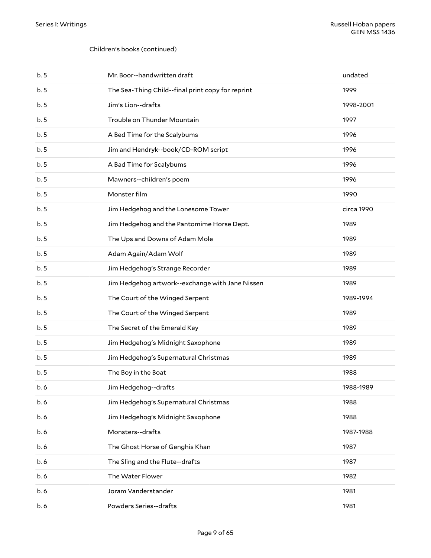| b.5 | Mr. Boor--handwritten draft                       | undated    |
|-----|---------------------------------------------------|------------|
| b.5 | The Sea-Thing Child--final print copy for reprint | 1999       |
| b.5 | Jim's Lion--drafts                                | 1998-2001  |
| b.5 | Trouble on Thunder Mountain                       | 1997       |
| b.5 | A Bed Time for the Scalybums                      | 1996       |
| b.5 | Jim and Hendryk--book/CD-ROM script               | 1996       |
| b.5 | A Bad Time for Scalybums                          | 1996       |
| b.5 | Mawners--children's poem                          | 1996       |
| b.5 | Monster film                                      | 1990       |
| b.5 | Jim Hedgehog and the Lonesome Tower               | circa 1990 |
| b.5 | Jim Hedgehog and the Pantomime Horse Dept.        | 1989       |
| b.5 | The Ups and Downs of Adam Mole                    | 1989       |
| b.5 | Adam Again/Adam Wolf                              | 1989       |
| b.5 | Jim Hedgehog's Strange Recorder                   | 1989       |
| b.5 | Jim Hedgehog artwork--exchange with Jane Nissen   | 1989       |
| b.5 | The Court of the Winged Serpent                   | 1989-1994  |
| b.5 | The Court of the Winged Serpent                   | 1989       |
| b.5 | The Secret of the Emerald Key                     | 1989       |
| b.5 | Jim Hedgehog's Midnight Saxophone                 | 1989       |
| b.5 | Jim Hedgehog's Supernatural Christmas             | 1989       |
| b.5 | The Boy in the Boat                               | 1988       |
| b.6 | Jim Hedgehog--drafts                              | 1988-1989  |
| b.6 | Jim Hedgehog's Supernatural Christmas             | 1988       |
| b.6 | Jim Hedgehog's Midnight Saxophone                 | 1988       |
| b.6 | Monsters--drafts                                  | 1987-1988  |
| b.6 | The Ghost Horse of Genghis Khan                   | 1987       |
| b.6 | The Sling and the Flute--drafts                   | 1987       |
| b.6 | The Water Flower                                  | 1982       |
| b.6 | Joram Vanderstander                               | 1981       |
|     |                                                   |            |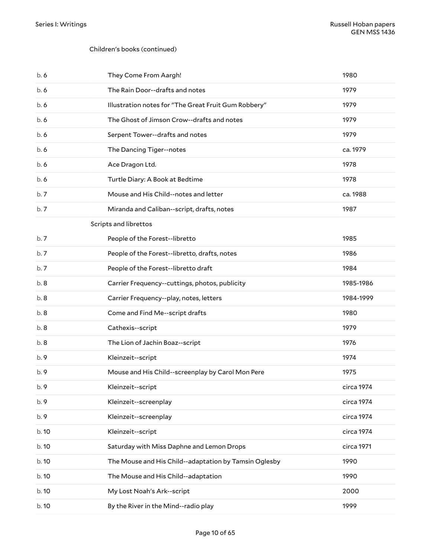<span id="page-9-0"></span>

| b.6   | They Come From Aargh!                                 | 1980       |
|-------|-------------------------------------------------------|------------|
| b. 6  | The Rain Door--drafts and notes                       | 1979       |
| b. 6  | Illustration notes for "The Great Fruit Gum Robbery"  | 1979       |
| b. 6  | The Ghost of Jimson Crow--drafts and notes            | 1979       |
| b. 6  | Serpent Tower--drafts and notes                       | 1979       |
| b. 6  | The Dancing Tiger--notes                              | ca. 1979   |
| b. 6  | Ace Dragon Ltd.                                       | 1978       |
| b. 6  | Turtle Diary: A Book at Bedtime                       | 1978       |
| b.7   | Mouse and His Child--notes and letter                 | ca. 1988   |
| b.7   | Miranda and Caliban--script, drafts, notes            | 1987       |
|       | Scripts and librettos                                 |            |
| b.7   | People of the Forest--libretto                        | 1985       |
| b.7   | People of the Forest--libretto, drafts, notes         | 1986       |
| b.7   | People of the Forest--libretto draft                  | 1984       |
| b.8   | Carrier Frequency--cuttings, photos, publicity        | 1985-1986  |
| b.8   | Carrier Frequency--play, notes, letters               | 1984-1999  |
| b. 8  | Come and Find Me--script drafts                       | 1980       |
| b. 8  | Cathexis--script                                      | 1979       |
| b.8   | The Lion of Jachin Boaz--script                       | 1976       |
| b.9   | Kleinzeit--script                                     | 1974       |
| b.9   | Mouse and His Child--screenplay by Carol Mon Pere     | 1975       |
| b. 9  | Kleinzeit--script                                     | circa 1974 |
| b.9   | Kleinzeit--screenplay                                 | circa 1974 |
| b. 9  | Kleinzeit--screenplay                                 | circa 1974 |
| b.10  | Kleinzeit--script                                     | circa 1974 |
| b. 10 | Saturday with Miss Daphne and Lemon Drops             | circa 1971 |
| b. 10 | The Mouse and His Child--adaptation by Tamsin Oglesby | 1990       |
| b. 10 | The Mouse and His Child--adaptation                   | 1990       |
| b. 10 | My Lost Noah's Ark--script                            | 2000       |
| b. 10 | By the River in the Mind--radio play                  | 1999       |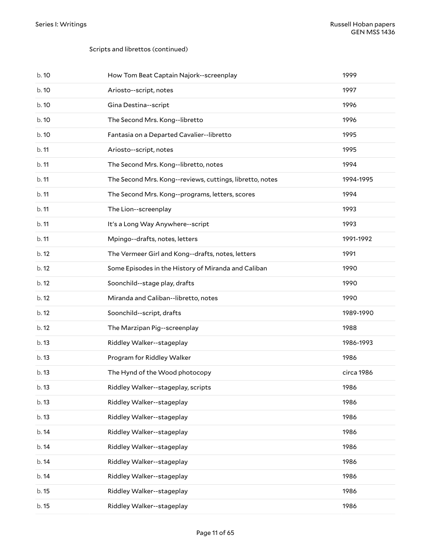### Scripts and librettos (continued)

| b.10  | How Tom Beat Captain Najork--screenplay                  | 1999       |
|-------|----------------------------------------------------------|------------|
| b.10  | Ariosto--script, notes                                   | 1997       |
| b. 10 | Gina Destina--script                                     | 1996       |
| b. 10 | The Second Mrs. Kong--libretto                           | 1996       |
| b.10  | Fantasia on a Departed Cavalier--libretto                | 1995       |
| b.11  | Ariosto--script, notes                                   | 1995       |
| b.11  | The Second Mrs. Kong--libretto, notes                    | 1994       |
| b.11  | The Second Mrs. Kong--reviews, cuttings, libretto, notes | 1994-1995  |
| b.11  | The Second Mrs. Kong--programs, letters, scores          | 1994       |
| b.11  | The Lion--screenplay                                     | 1993       |
| b.11  | It's a Long Way Anywhere--script                         | 1993       |
| b.11  | Mpingo--drafts, notes, letters                           | 1991-1992  |
| b.12  | The Vermeer Girl and Kong--drafts, notes, letters        | 1991       |
| b.12  | Some Episodes in the History of Miranda and Caliban      | 1990       |
| b.12  | Soonchild--stage play, drafts                            | 1990       |
| b.12  | Miranda and Caliban--libretto, notes                     | 1990       |
| b.12  | Soonchild--script, drafts                                | 1989-1990  |
| b.12  | The Marzipan Pig--screenplay                             | 1988       |
| b.13  | Riddley Walker--stageplay                                | 1986-1993  |
| b.13  | Program for Riddley Walker                               | 1986       |
| b.13  | The Hynd of the Wood photocopy                           | circa 1986 |
| b. 13 | Riddley Walker--stageplay, scripts                       | 1986       |
| b. 13 | Riddley Walker--stageplay                                | 1986       |
| b.13  | Riddley Walker--stageplay                                | 1986       |
| b. 14 | Riddley Walker--stageplay                                | 1986       |
| b. 14 | Riddley Walker--stageplay                                | 1986       |
| b. 14 | Riddley Walker--stageplay                                | 1986       |
| b. 14 | Riddley Walker--stageplay                                | 1986       |
| b. 15 | Riddley Walker--stageplay                                | 1986       |
| b. 15 | Riddley Walker--stageplay                                | 1986       |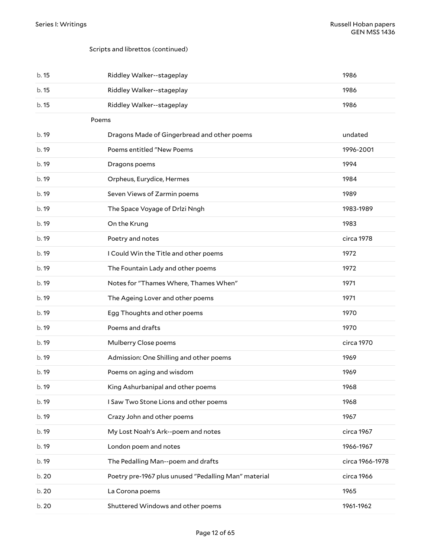### Scripts and librettos (continued)

<span id="page-11-0"></span>

| b. 15 | Riddley Walker--stageplay                            | 1986            |
|-------|------------------------------------------------------|-----------------|
| b. 15 | Riddley Walker--stageplay                            | 1986            |
| b. 15 | Riddley Walker--stageplay                            | 1986            |
|       | Poems                                                |                 |
| b. 19 | Dragons Made of Gingerbread and other poems          | undated         |
| b. 19 | Poems entitled "New Poems                            | 1996-2001       |
| b. 19 | Dragons poems                                        | 1994            |
| b. 19 | Orpheus, Eurydice, Hermes                            | 1984            |
| b. 19 | Seven Views of Zarmin poems                          | 1989            |
| b. 19 | The Space Voyage of Drlzi Nngh                       | 1983-1989       |
| b. 19 | On the Krung                                         | 1983            |
| b. 19 | Poetry and notes                                     | circa 1978      |
| b. 19 | I Could Win the Title and other poems                | 1972            |
| b. 19 | The Fountain Lady and other poems                    | 1972            |
| b. 19 | Notes for "Thames Where, Thames When"                | 1971            |
| b. 19 | The Ageing Lover and other poems                     | 1971            |
| b.19  | Egg Thoughts and other poems                         | 1970            |
| b. 19 | Poems and drafts                                     | 1970            |
| b. 19 | Mulberry Close poems                                 | circa 1970      |
| b. 19 | Admission: One Shilling and other poems              | 1969            |
| b. 19 | Poems on aging and wisdom                            | 1969            |
| b. 19 | King Ashurbanipal and other poems                    | 1968            |
| b. 19 | I Saw Two Stone Lions and other poems                | 1968            |
| b. 19 | Crazy John and other poems                           | 1967            |
| b. 19 | My Lost Noah's Ark--poem and notes                   | circa 1967      |
| b. 19 | London poem and notes                                | 1966-1967       |
| b. 19 | The Pedalling Man--poem and drafts                   | circa 1966-1978 |
| b. 20 | Poetry pre-1967 plus unused "Pedalling Man" material | circa 1966      |
| b. 20 | La Corona poems                                      | 1965            |
| b. 20 | Shuttered Windows and other poems                    | 1961-1962       |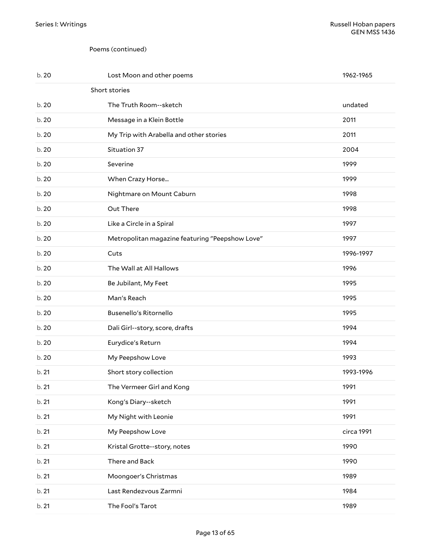#### <span id="page-12-0"></span>Poems (continued)

| b. 20 | Lost Moon and other poems                       | 1962-1965  |
|-------|-------------------------------------------------|------------|
|       | Short stories                                   |            |
| b.20  | The Truth Room--sketch                          | undated    |
| b. 20 | Message in a Klein Bottle                       | 2011       |
| b. 20 | My Trip with Arabella and other stories         | 2011       |
| b. 20 | Situation 37                                    | 2004       |
| b. 20 | Severine                                        | 1999       |
| b. 20 | When Crazy Horse                                | 1999       |
| b. 20 | Nightmare on Mount Caburn                       | 1998       |
| b. 20 | Out There                                       | 1998       |
| b. 20 | Like a Circle in a Spiral                       | 1997       |
| b. 20 | Metropolitan magazine featuring "Peepshow Love" | 1997       |
| b. 20 | Cuts                                            | 1996-1997  |
| b. 20 | The Wall at All Hallows                         | 1996       |
| b. 20 | Be Jubilant, My Feet                            | 1995       |
| b.20  | Man's Reach                                     | 1995       |
| b.20  | Busenello's Ritornello                          | 1995       |
| b. 20 | Dali Girl--story, score, drafts                 | 1994       |
| b. 20 | Eurydice's Return                               | 1994       |
| b. 20 | My Peepshow Love                                | 1993       |
| b.21  | Short story collection                          | 1993-1996  |
| b.21  | The Vermeer Girl and Kong                       | 1991       |
| b. 21 | Kong's Diary--sketch                            | 1991       |
| b. 21 | My Night with Leonie                            | 1991       |
| b. 21 | My Peepshow Love                                | circa 1991 |
| b. 21 | Kristal Grotte--story, notes                    | 1990       |
| b. 21 | There and Back                                  | 1990       |
| b. 21 | Moongoer's Christmas                            | 1989       |
| b. 21 | Last Rendezvous Zarmni                          | 1984       |
| b. 21 | The Fool's Tarot                                | 1989       |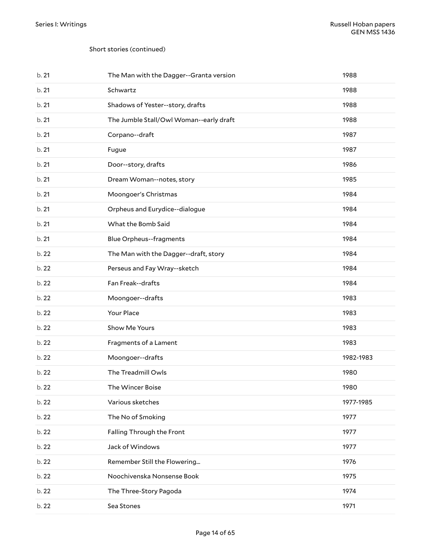#### Short stories (continued)

| b.21  | The Man with the Dagger--Granta version | 1988      |
|-------|-----------------------------------------|-----------|
| b.21  | Schwartz                                | 1988      |
| b.21  | Shadows of Yester--story, drafts        | 1988      |
| b.21  | The Jumble Stall/Owl Woman--early draft | 1988      |
| b.21  | Corpano--draft                          | 1987      |
| b.21  | Fugue                                   | 1987      |
| b.21  | Door--story, drafts                     | 1986      |
| b.21  | Dream Woman--notes, story               | 1985      |
| b.21  | Moongoer's Christmas                    | 1984      |
| b.21  | Orpheus and Eurydice--dialogue          | 1984      |
| b.21  | What the Bomb Said                      | 1984      |
| b.21  | <b>Blue Orpheus--fragments</b>          | 1984      |
| b. 22 | The Man with the Dagger--draft, story   | 1984      |
| b. 22 | Perseus and Fay Wray--sketch            | 1984      |
| b. 22 | Fan Freak--drafts                       | 1984      |
| b. 22 | Moongoer--drafts                        | 1983      |
| b. 22 | Your Place                              | 1983      |
| b. 22 | Show Me Yours                           | 1983      |
| b. 22 | Fragments of a Lament                   | 1983      |
| b. 22 | Moongoer--drafts                        | 1982-1983 |
| b.22  | The Treadmill Owls                      | 1980      |
| b. 22 | The Wincer Boise                        | 1980      |
| b. 22 | Various sketches                        | 1977-1985 |
| b. 22 | The No of Smoking                       | 1977      |
| b. 22 | Falling Through the Front               | 1977      |
| b. 22 | Jack of Windows                         | 1977      |
| b. 22 | Remember Still the Flowering            | 1976      |
| b. 22 | Noochivenska Nonsense Book              | 1975      |
| b. 22 | The Three-Story Pagoda                  | 1974      |
| b. 22 | Sea Stones                              | 1971      |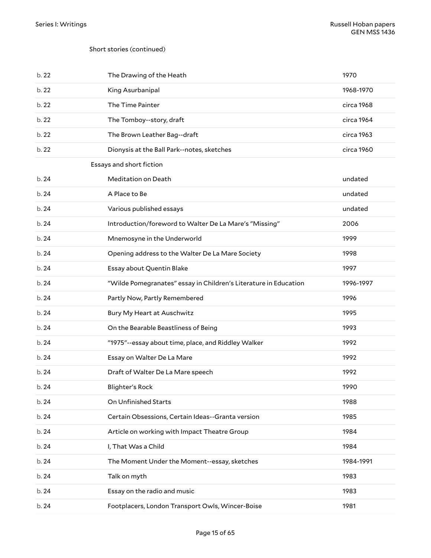#### Short stories (continued)

<span id="page-14-0"></span>

| b. 22 | The Drawing of the Heath                                         | 1970       |
|-------|------------------------------------------------------------------|------------|
| b. 22 | King Asurbanipal                                                 | 1968-1970  |
| b.22  | The Time Painter                                                 | circa 1968 |
| b.22  | The Tomboy--story, draft                                         | circa 1964 |
| b. 22 | The Brown Leather Bag--draft                                     | circa 1963 |
| b.22  | Dionysis at the Ball Park--notes, sketches                       | circa 1960 |
|       | Essays and short fiction                                         |            |
| b.24  | Meditation on Death                                              | undated    |
| b.24  | A Place to Be                                                    | undated    |
| b.24  | Various published essays                                         | undated    |
| b.24  | Introduction/foreword to Walter De La Mare's "Missing"           | 2006       |
| b.24  | Mnemosyne in the Underworld                                      | 1999       |
| b.24  | Opening address to the Walter De La Mare Society                 | 1998       |
| b.24  | Essay about Quentin Blake                                        | 1997       |
| b.24  | "Wilde Pomegranates" essay in Children's Literature in Education | 1996-1997  |
| b.24  | Partly Now, Partly Remembered                                    | 1996       |
| b.24  | Bury My Heart at Auschwitz                                       | 1995       |
| b.24  | On the Bearable Beastliness of Being                             | 1993       |
| b.24  | "1975"--essay about time, place, and Riddley Walker              | 1992       |
| b.24  | Essay on Walter De La Mare                                       | 1992       |
| b.24  | Draft of Walter De La Mare speech                                | 1992       |
| b. 24 | <b>Blighter's Rock</b>                                           | 1990       |
| b. 24 | On Unfinished Starts                                             | 1988       |
| b. 24 | Certain Obsessions, Certain Ideas--Granta version                | 1985       |
| b. 24 | Article on working with Impact Theatre Group                     | 1984       |
| b. 24 | I, That Was a Child                                              | 1984       |
| b. 24 | The Moment Under the Moment--essay, sketches                     | 1984-1991  |
| b. 24 | Talk on myth                                                     | 1983       |
| b. 24 | Essay on the radio and music                                     | 1983       |
| b. 24 | Footplacers, London Transport Owls, Wincer-Boise                 | 1981       |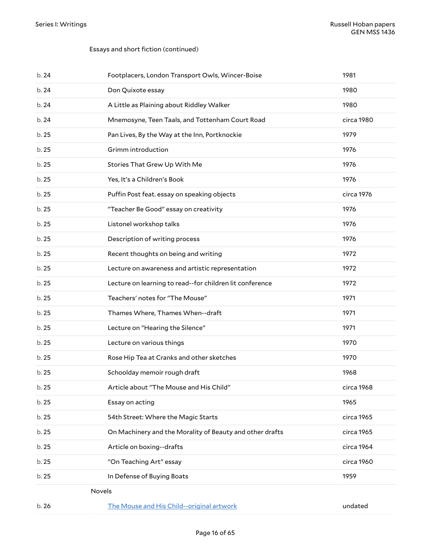#### Essays and short fiction (continued)

<span id="page-15-0"></span>

| b.24  | Footplacers, London Transport Owls, Wincer-Boise         | 1981       |
|-------|----------------------------------------------------------|------------|
| b.24  | Don Quixote essay                                        | 1980       |
| b.24  | A Little as Plaining about Riddley Walker                | 1980       |
| b.24  | Mnemosyne, Teen Taals, and Tottenham Court Road          | circa 1980 |
| b. 25 | Pan Lives, By the Way at the Inn, Portknockie            | 1979       |
| b. 25 | Grimm introduction                                       | 1976       |
| b.25  | Stories That Grew Up With Me                             | 1976       |
| b. 25 | Yes, It's a Children's Book                              | 1976       |
| b.25  | Puffin Post feat. essay on speaking objects              | circa 1976 |
| b. 25 | "Teacher Be Good" essay on creativity                    | 1976       |
| b. 25 | Listonel workshop talks                                  | 1976       |
| b. 25 | Description of writing process                           | 1976       |
| b.25  | Recent thoughts on being and writing                     | 1972       |
| b.25  | Lecture on awareness and artistic representation         | 1972       |
| b.25  | Lecture on learning to read--for children lit conference | 1972       |
| b. 25 | Teachers' notes for "The Mouse"                          | 1971       |
| b. 25 | Thames Where, Thames When--draft                         | 1971       |
| b.25  | Lecture on "Hearing the Silence"                         | 1971       |
| b.25  | Lecture on various things                                | 1970       |
| b. 25 | Rose Hip Tea at Cranks and other sketches                | 1970       |
| b.25  | Schoolday memoir rough draft                             | 1968       |
| b. 25 | Article about "The Mouse and His Child"                  | circa 1968 |
| b. 25 | Essay on acting                                          | 1965       |
| b. 25 | 54th Street: Where the Magic Starts                      | circa 1965 |
| b. 25 | On Machinery and the Morality of Beauty and other drafts | circa 1965 |
| b. 25 | Article on boxing--drafts                                | circa 1964 |
| b. 25 | "On Teaching Art" essay                                  | circa 1960 |
| b. 25 | In Defense of Buying Boats                               | 1959       |
|       | Novels                                                   |            |
| b. 26 | The Mouse and His Child--original artwork                | undated    |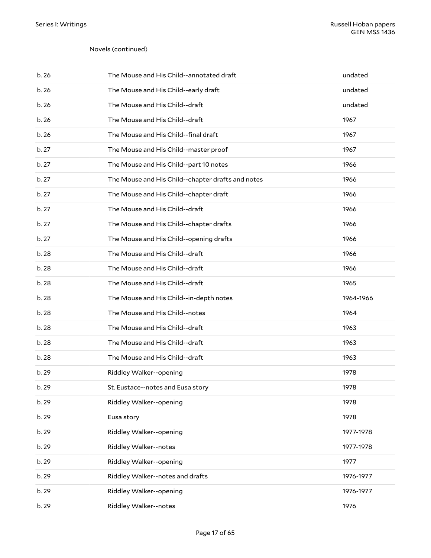| b. 26 | The Mouse and His Child--annotated draft          | undated   |
|-------|---------------------------------------------------|-----------|
| b.26  | The Mouse and His Child--early draft              | undated   |
| b.26  | The Mouse and His Child--draft                    | undated   |
| b.26  | The Mouse and His Child--draft                    | 1967      |
| b.26  | The Mouse and His Child--final draft              | 1967      |
| b.27  | The Mouse and His Child--master proof             | 1967      |
| b.27  | The Mouse and His Child--part 10 notes            | 1966      |
| b.27  | The Mouse and His Child--chapter drafts and notes | 1966      |
| b. 27 | The Mouse and His Child--chapter draft            | 1966      |
| b.27  | The Mouse and His Child--draft                    | 1966      |
| b.27  | The Mouse and His Child--chapter drafts           | 1966      |
| b.27  | The Mouse and His Child--opening drafts           | 1966      |
| b.28  | The Mouse and His Child--draft                    | 1966      |
| b.28  | The Mouse and His Child--draft                    | 1966      |
| b. 28 | The Mouse and His Child--draft                    | 1965      |
| b. 28 | The Mouse and His Child--in-depth notes           | 1964-1966 |
| b. 28 | The Mouse and His Child--notes                    | 1964      |
| b. 28 | The Mouse and His Child--draft                    | 1963      |
| b. 28 | The Mouse and His Child--draft                    | 1963      |
| b.28  | The Mouse and His Child--draft                    | 1963      |
|       |                                                   |           |
| b. 29 | Riddley Walker--opening                           | 1978      |
| b. 29 | St. Eustace--notes and Eusa story                 | 1978      |
| b. 29 | Riddley Walker--opening                           | 1978      |
| b. 29 | Eusa story                                        | 1978      |
| b. 29 | Riddley Walker--opening                           | 1977-1978 |
| b. 29 | Riddley Walker--notes                             | 1977-1978 |
| b. 29 | Riddley Walker--opening                           | 1977      |
| b. 29 | Riddley Walker--notes and drafts                  | 1976-1977 |
| b. 29 | Riddley Walker--opening                           | 1976-1977 |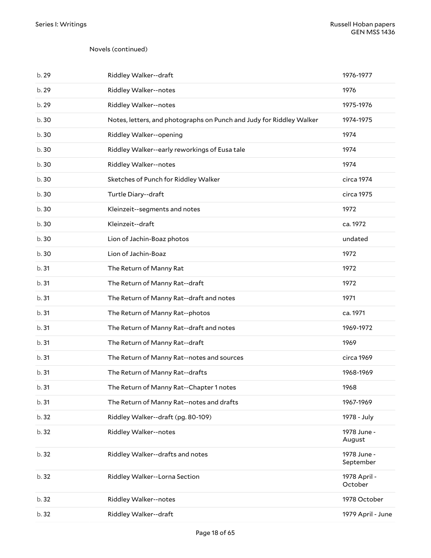| b. 29 | Riddley Walker--draft                                                | 1976-1977                |
|-------|----------------------------------------------------------------------|--------------------------|
| b. 29 | Riddley Walker--notes                                                | 1976                     |
| b. 29 | Riddley Walker--notes                                                | 1975-1976                |
| b. 30 | Notes, letters, and photographs on Punch and Judy for Riddley Walker | 1974-1975                |
| b. 30 | Riddley Walker--opening                                              | 1974                     |
| b. 30 | Riddley Walker--early reworkings of Eusa tale                        | 1974                     |
| b. 30 | Riddley Walker--notes                                                | 1974                     |
| b.30  | Sketches of Punch for Riddley Walker                                 | circa 1974               |
| b. 30 | Turtle Diary--draft                                                  | circa 1975               |
| b. 30 | Kleinzeit--segments and notes                                        | 1972                     |
| b.30  | Kleinzeit--draft                                                     | ca. 1972                 |
| b.30  | Lion of Jachin-Boaz photos                                           | undated                  |
| b.30  | Lion of Jachin-Boaz                                                  | 1972                     |
| b.31  | The Return of Manny Rat                                              | 1972                     |
| b.31  | The Return of Manny Rat--draft                                       | 1972                     |
| b.31  | The Return of Manny Rat--draft and notes                             | 1971                     |
| b.31  | The Return of Manny Rat--photos                                      | ca. 1971                 |
| b.31  | The Return of Manny Rat--draft and notes                             | 1969-1972                |
| b.31  | The Return of Manny Rat--draft                                       | 1969                     |
| b.31  | The Return of Manny Rat--notes and sources                           | circa 1969               |
| b.31  | The Return of Manny Rat--drafts                                      | 1968-1969                |
| b. 31 | The Return of Manny Rat--Chapter 1 notes                             | 1968                     |
| b.31  | The Return of Manny Rat--notes and drafts                            | 1967-1969                |
| b. 32 | Riddley Walker--draft (pg. 80-109)                                   | 1978 - July              |
| b. 32 | Riddley Walker--notes                                                | 1978 June -<br>August    |
| b. 32 | Riddley Walker--drafts and notes                                     | 1978 June -<br>September |
| b. 32 | Riddley Walker--Lorna Section                                        | 1978 April -<br>October  |
| b.32  | Riddley Walker--notes                                                | 1978 October             |
| b. 32 | Riddley Walker--draft                                                | 1979 April - June        |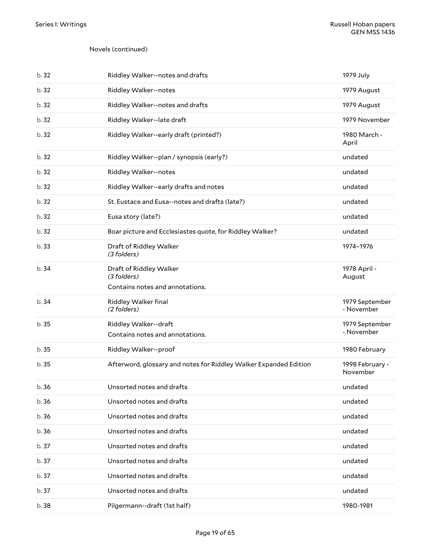| b.32  | Riddley Walker--notes and drafts                                          | 1979 July                    |
|-------|---------------------------------------------------------------------------|------------------------------|
| b.32  | Riddley Walker--notes                                                     | 1979 August                  |
| b.32  | Riddley Walker--notes and drafts                                          | 1979 August                  |
| b.32  | Riddley Walker--late draft                                                | 1979 November                |
| b.32  | Riddley Walker--early draft (printed?)                                    | 1980 March -<br>April        |
| b. 32 | Riddley Walker--plan / synopsis (early?)                                  | undated                      |
| b. 32 | Riddley Walker--notes                                                     | undated                      |
| b.32  | Riddley Walker--early drafts and notes                                    | undated                      |
| b. 32 | St. Eustace and Eusa--notes and drafts (late?)                            | undated                      |
| b. 32 | Eusa story (late?)                                                        | undated                      |
| b.32  | Boar picture and Ecclesiastes quote, for Riddley Walker?                  | undated                      |
| b.33  | Draft of Riddley Walker<br>(3 folders)                                    | 1974-1976                    |
| b.34  | Draft of Riddley Walker<br>(3 folders)<br>Contains notes and annotations. | 1978 April -<br>August       |
| b. 34 | Riddley Walker final<br>(2 folders)                                       | 1979 September<br>- November |
| b.35  | Riddley Walker--draft<br>Contains notes and annotations.                  | 1979 September<br>- November |
| b. 35 | Riddley Walker--proof                                                     | 1980 February                |
| b.35  | Afterword, glossary and notes for Riddley Walker Expanded Edition         | 1998 February -<br>November  |
| b. 36 | Unsorted notes and drafts                                                 | undated                      |
| b.36  | Unsorted notes and drafts                                                 | undated                      |
| b.36  | Unsorted notes and drafts                                                 | undated                      |
| b.36  | Unsorted notes and drafts                                                 | undated                      |
| b.37  | Unsorted notes and drafts                                                 | undated                      |
| b.37  | Unsorted notes and drafts                                                 | undated                      |
| b. 37 | Unsorted notes and drafts                                                 | undated                      |
| b.37  |                                                                           |                              |
|       | Unsorted notes and drafts                                                 | undated                      |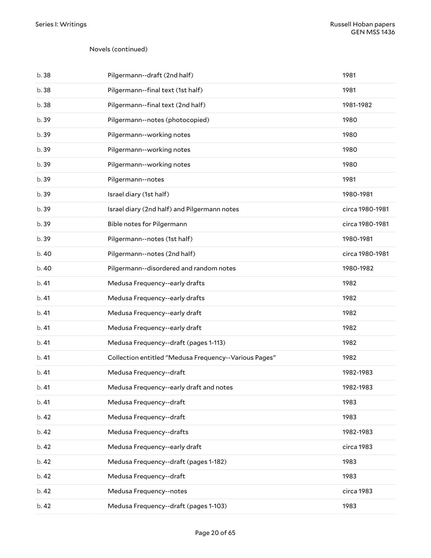| b. 38 | Pilgermann--draft (2nd half)                          | 1981            |
|-------|-------------------------------------------------------|-----------------|
| b. 38 | Pilgermann--final text (1st half)                     | 1981            |
| b. 38 | Pilgermann--final text (2nd half)                     | 1981-1982       |
| b. 39 | Pilgermann--notes (photocopied)                       | 1980            |
| b. 39 | Pilgermann--working notes                             | 1980            |
| b. 39 | Pilgermann--working notes                             | 1980            |
| b. 39 | Pilgermann--working notes                             | 1980            |
| b. 39 | Pilgermann--notes                                     | 1981            |
| b. 39 | Israel diary (1st half)                               | 1980-1981       |
| b. 39 | Israel diary (2nd half) and Pilgermann notes          | circa 1980-1981 |
| b. 39 | Bible notes for Pilgermann                            | circa 1980-1981 |
| b. 39 | Pilgermann--notes (1st half)                          | 1980-1981       |
| b.40  | Pilgermann--notes (2nd half)                          | circa 1980-1981 |
| b.40  | Pilgermann--disordered and random notes               | 1980-1982       |
| b.41  | Medusa Frequency--early drafts                        | 1982            |
| b.41  | Medusa Frequency--early drafts                        | 1982            |
| b.41  | Medusa Frequency--early draft                         | 1982            |
| b.41  | Medusa Frequency--early draft                         | 1982            |
| b.41  | Medusa Frequency--draft (pages 1-113)                 | 1982            |
| b.41  | Collection entitled "Medusa Frequency--Various Pages" | 1982            |
| b. 41 | Medusa Frequency--draft                               | 1982-1983       |
| b. 41 | Medusa Frequency--early draft and notes               | 1982-1983       |
| b.41  | Medusa Frequency--draft                               | 1983            |
| b. 42 | Medusa Frequency--draft                               | 1983            |
| b. 42 | Medusa Frequency--drafts                              | 1982-1983       |
| b. 42 | Medusa Frequency--early draft                         | circa 1983      |
| b. 42 | Medusa Frequency--draft (pages 1-182)                 | 1983            |
| b. 42 | Medusa Frequency--draft                               | 1983            |
| b. 42 | Medusa Frequency--notes                               | circa 1983      |
| b. 42 | Medusa Frequency--draft (pages 1-103)                 | 1983            |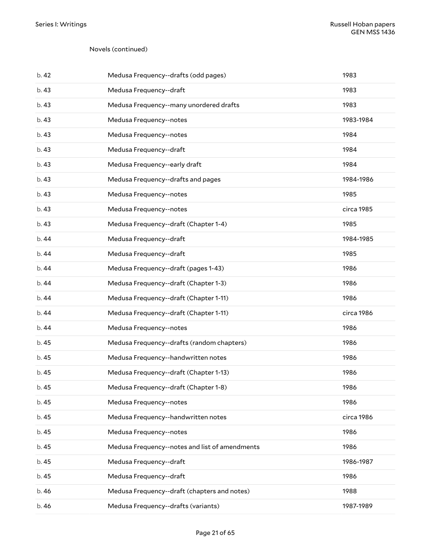| b. 42 | Medusa Frequency--drafts (odd pages)           | 1983       |
|-------|------------------------------------------------|------------|
| b.43  | Medusa Frequency--draft                        | 1983       |
| b.43  | Medusa Frequency--many unordered drafts        | 1983       |
| b.43  | Medusa Frequency--notes                        | 1983-1984  |
| b.43  | Medusa Frequency--notes                        | 1984       |
| b.43  | Medusa Frequency--draft                        | 1984       |
| b.43  | Medusa Frequency--early draft                  | 1984       |
| b.43  | Medusa Frequency--drafts and pages             | 1984-1986  |
| b.43  | Medusa Frequency--notes                        | 1985       |
| b.43  | Medusa Frequency--notes                        | circa 1985 |
| b. 43 | Medusa Frequency--draft (Chapter 1-4)          | 1985       |
| b. 44 | Medusa Frequency--draft                        | 1984-1985  |
| b.44  | Medusa Frequency--draft                        | 1985       |
| b.44  | Medusa Frequency--draft (pages 1-43)           | 1986       |
| b.44  | Medusa Frequency--draft (Chapter 1-3)          | 1986       |
| b.44  | Medusa Frequency--draft (Chapter 1-11)         | 1986       |
| b.44  | Medusa Frequency--draft (Chapter 1-11)         | circa 1986 |
| b.44  | Medusa Frequency--notes                        | 1986       |
| b. 45 | Medusa Frequency--drafts (random chapters)     | 1986       |
| b. 45 | Medusa Frequency--handwritten notes            | 1986       |
| b. 45 | Medusa Frequency--draft (Chapter 1-13)         | 1986       |
| b. 45 | Medusa Frequency--draft (Chapter 1-8)          | 1986       |
| b. 45 | Medusa Frequency--notes                        | 1986       |
| b. 45 | Medusa Frequency--handwritten notes            | circa 1986 |
| b.45  | Medusa Frequency--notes                        | 1986       |
| b. 45 | Medusa Frequency--notes and list of amendments | 1986       |
| b. 45 | Medusa Frequency--draft                        | 1986-1987  |
| b. 45 | Medusa Frequency--draft                        | 1986       |
| b. 46 | Medusa Frequency--draft (chapters and notes)   | 1988       |
| b. 46 | Medusa Frequency--drafts (variants)            | 1987-1989  |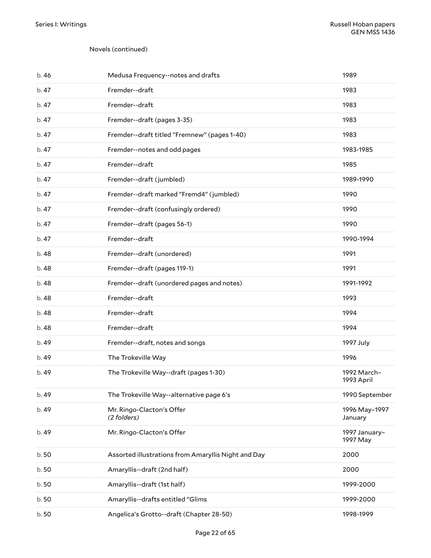| b.46  | Medusa Frequency--notes and drafts                  | 1989                      |
|-------|-----------------------------------------------------|---------------------------|
| b. 47 | Fremder--draft                                      | 1983                      |
| b. 47 | Fremder--draft                                      | 1983                      |
| b. 47 | Fremder--draft (pages 3-35)                         | 1983                      |
| b. 47 | Fremder--draft titled "Fremnew" (pages 1-40)        | 1983                      |
| b.47  | Fremder--notes and odd pages                        | 1983-1985                 |
| b. 47 | Fremder--draft                                      | 1985                      |
| b. 47 | Fremder--draft (jumbled)                            | 1989-1990                 |
| b. 47 | Fremder--draft marked "Fremd4" (jumbled)            | 1990                      |
| b. 47 | Fremder--draft (confusingly ordered)                | 1990                      |
| b. 47 | Fremder--draft (pages 56-1)                         | 1990                      |
| b.47  | Fremder--draft                                      | 1990-1994                 |
| b. 48 | Fremder--draft (unordered)                          | 1991                      |
| b.48  | Fremder--draft (pages 119-1)                        | 1991                      |
| b. 48 | Fremder--draft (unordered pages and notes)          | 1991-1992                 |
| b. 48 | Fremder--draft                                      | 1993                      |
| b. 48 | Fremder--draft                                      | 1994                      |
| b. 48 | Fremder--draft                                      | 1994                      |
| b. 49 | Fremder--draft, notes and songs                     | 1997 July                 |
| b. 49 | The Trokeville Way                                  | 1996                      |
| b. 49 | The Trokeville Way--draft (pages 1-30)              | 1992 March-<br>1993 April |
| b.49  | The Trokeville Way--alternative page 6's            | 1990 September            |
| b. 49 | Mr. Ringo-Clacton's Offer<br>(2 folders)            | 1996 May-1997<br>January  |
| b. 49 | Mr. Ringo-Clacton's Offer                           | 1997 January-<br>1997 May |
| b.50  | Assorted illustrations from Amaryllis Night and Day | 2000                      |
| b.50  | Amaryllis--draft (2nd half)                         | 2000                      |
| b.50  | Amaryllis--draft (1st half)                         | 1999-2000                 |
| b.50  | Amaryllis--drafts entitled "Glims                   | 1999-2000                 |
| b.50  | Angelica's Grotto--draft (Chapter 28-50)            | 1998-1999                 |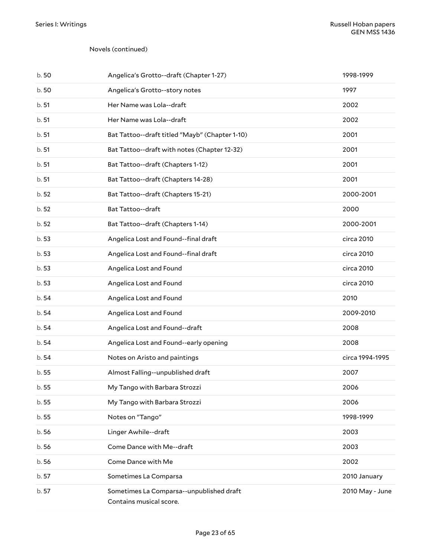| b.50  | Angelica's Grotto--draft (Chapter 1-27)                             | 1998-1999       |
|-------|---------------------------------------------------------------------|-----------------|
| b.50  | Angelica's Grotto--story notes                                      | 1997            |
| b.51  | Her Name was Lola--draft                                            | 2002            |
| b.51  | Her Name was Lola--draft                                            | 2002            |
| b.51  | Bat Tattoo--draft titled "Mayb" (Chapter 1-10)                      | 2001            |
| b.51  | Bat Tattoo--draft with notes (Chapter 12-32)                        | 2001            |
| b.51  | Bat Tattoo--draft (Chapters 1-12)                                   | 2001            |
| b.51  | Bat Tattoo--draft (Chapters 14-28)                                  | 2001            |
| b.52  | Bat Tattoo--draft (Chapters 15-21)                                  | 2000-2001       |
| b.52  | Bat Tattoo--draft                                                   | 2000            |
| b.52  | Bat Tattoo--draft (Chapters 1-14)                                   | 2000-2001       |
| b.53  | Angelica Lost and Found--final draft                                | circa 2010      |
| b.53  | Angelica Lost and Found--final draft                                | circa 2010      |
| b.53  | Angelica Lost and Found                                             | circa 2010      |
| b.53  | Angelica Lost and Found                                             | circa 2010      |
| b.54  | Angelica Lost and Found                                             | 2010            |
| b.54  | Angelica Lost and Found                                             | 2009-2010       |
| b.54  | Angelica Lost and Found--draft                                      | 2008            |
| b.54  | Angelica Lost and Found--early opening                              | 2008            |
| b.54  | Notes on Aristo and paintings                                       | circa 1994-1995 |
| b.55  | Almost Falling--unpublished draft                                   | 2007            |
| b. 55 | My Tango with Barbara Strozzi                                       | 2006            |
| b. 55 | My Tango with Barbara Strozzi                                       | 2006            |
| b.55  | Notes on "Tango"                                                    | 1998-1999       |
| b.56  | Linger Awhile--draft                                                | 2003            |
| b.56  | Come Dance with Me--draft                                           | 2003            |
| b.56  | Come Dance with Me                                                  | 2002            |
| b. 57 | Sometimes La Comparsa                                               | 2010 January    |
| b. 57 | Sometimes La Comparsa--unpublished draft<br>Contains musical score. | 2010 May - June |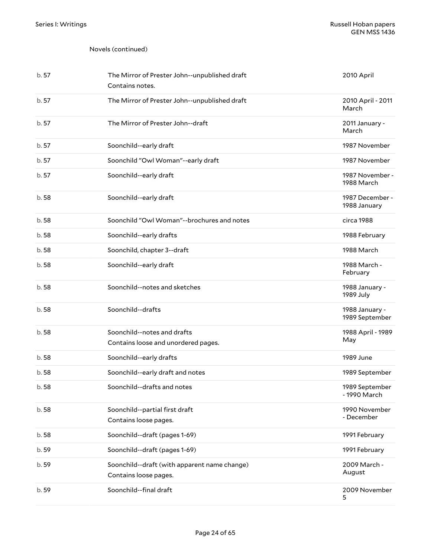| b.57  | The Mirror of Prester John--unpublished draft<br>Contains notes.      | 2010 April                       |
|-------|-----------------------------------------------------------------------|----------------------------------|
| b.57  | The Mirror of Prester John--unpublished draft                         | 2010 April - 2011<br>March       |
| b.57  | The Mirror of Prester John--draft                                     | 2011 January -<br>March          |
| b.57  | Soonchild--early draft                                                | 1987 November                    |
| b. 57 | Soonchild "Owl Woman"--early draft                                    | 1987 November                    |
| b. 57 | Soonchild--early draft                                                | 1987 November -<br>1988 March    |
| b.58  | Soonchild--early draft                                                | 1987 December -<br>1988 January  |
| b. 58 | Soonchild "Owl Woman"--brochures and notes                            | circa 1988                       |
| b.58  | Soonchild--early drafts                                               | 1988 February                    |
| b.58  | Soonchild, chapter 3--draft                                           | 1988 March                       |
| b.58  | Soonchild--early draft                                                | 1988 March -<br>February         |
| b. 58 | Soonchild--notes and sketches                                         | 1988 January -<br>1989 July      |
| b.58  | Soonchild--drafts                                                     | 1988 January -<br>1989 September |
| b.58  | Soonchild--notes and drafts<br>Contains loose and unordered pages.    | 1988 April - 1989<br>May         |
| b.58  | Soonchild--early drafts                                               | 1989 June                        |
| b.58  | Soonchild--early draft and notes                                      | 1989 September                   |
| b.58  | Soonchild--drafts and notes                                           | 1989 September<br>- 1990 March   |
| b.58  | Soonchild--partial first draft<br>Contains loose pages.               | 1990 November<br>- December      |
| b.58  | Soonchild--draft (pages 1-69)                                         | 1991 February                    |
| b. 59 | Soonchild--draft (pages 1-69)                                         | 1991 February                    |
| b.59  | Soonchild--draft (with apparent name change)<br>Contains loose pages. | 2009 March -<br>August           |
| b. 59 | Soonchild--final draft                                                | 2009 November<br>5               |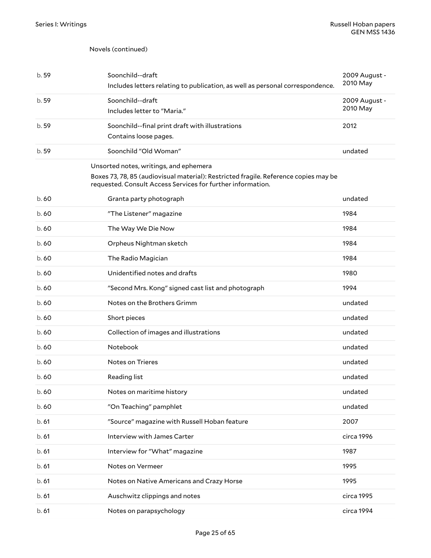<span id="page-24-0"></span>

| b. 59 | Soonchild--draft<br>Includes letters relating to publication, as well as personal correspondence.                                                                                             | 2009 August -<br>2010 May |
|-------|-----------------------------------------------------------------------------------------------------------------------------------------------------------------------------------------------|---------------------------|
| b. 59 | Soonchild--draft<br>Includes letter to "Maria."                                                                                                                                               | 2009 August -<br>2010 May |
| b. 59 | Soonchild--final print draft with illustrations<br>Contains loose pages.                                                                                                                      | 2012                      |
| b. 59 | Soonchild "Old Woman"                                                                                                                                                                         | undated                   |
|       | Unsorted notes, writings, and ephemera<br>Boxes 73, 78, 85 (audiovisual material): Restricted fragile. Reference copies may be<br>requested. Consult Access Services for further information. |                           |
| b.60  | Granta party photograph                                                                                                                                                                       | undated                   |
| b.60  | "The Listener" magazine                                                                                                                                                                       | 1984                      |
| b. 60 | The Way We Die Now                                                                                                                                                                            | 1984                      |
| b.60  | Orpheus Nightman sketch                                                                                                                                                                       | 1984                      |
| b.60  | The Radio Magician                                                                                                                                                                            | 1984                      |
| b.60  | Unidentified notes and drafts                                                                                                                                                                 | 1980                      |
| b. 60 | "Second Mrs. Kong" signed cast list and photograph                                                                                                                                            | 1994                      |
| b. 60 | Notes on the Brothers Grimm                                                                                                                                                                   | undated                   |
| b.60  | Short pieces                                                                                                                                                                                  | undated                   |
| b.60  | Collection of images and illustrations                                                                                                                                                        | undated                   |
| b. 60 | Notebook                                                                                                                                                                                      | undated                   |
| b. 60 | Notes on Trieres                                                                                                                                                                              | undated                   |
| b. 60 | Reading list                                                                                                                                                                                  | undated                   |
| b. 60 | Notes on maritime history                                                                                                                                                                     | undated                   |
| b.60  | "On Teaching" pamphlet                                                                                                                                                                        | undated                   |
| b.61  | "Source" magazine with Russell Hoban feature                                                                                                                                                  | 2007                      |
| b.61  | Interview with James Carter                                                                                                                                                                   | circa 1996                |
| b.61  | Interview for "What" magazine                                                                                                                                                                 | 1987                      |
| b.61  | Notes on Vermeer                                                                                                                                                                              | 1995                      |
| b.61  | Notes on Native Americans and Crazy Horse                                                                                                                                                     | 1995                      |
| b.61  | Auschwitz clippings and notes                                                                                                                                                                 | circa 1995                |
| b.61  | Notes on parapsychology                                                                                                                                                                       | circa 1994                |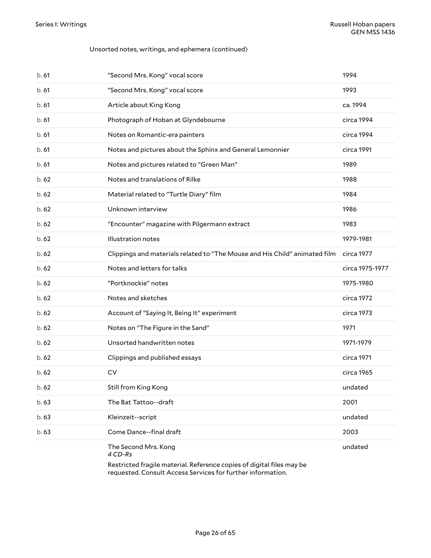#### Unsorted notes, writings, and ephemera (continued)

| b.61  | "Second Mrs. Kong" vocal score                                             | 1994            |
|-------|----------------------------------------------------------------------------|-----------------|
| b.61  | "Second Mrs. Kong" vocal score                                             | 1993            |
| b.61  | Article about King Kong                                                    | ca. 1994        |
| b.61  | Photograph of Hoban at Glyndebourne                                        | circa 1994      |
| b.61  | Notes on Romantic-era painters                                             | circa 1994      |
| b.61  | Notes and pictures about the Sphinx and General Lemonnier                  | circa 1991      |
| b.61  | Notes and pictures related to "Green Man"                                  | 1989            |
| b.62  | Notes and translations of Rilke                                            | 1988            |
| b.62  | Material related to "Turtle Diary" film                                    | 1984            |
| b.62  | Unknown interview                                                          | 1986            |
| b.62  | "Encounter" magazine with Pilgermann extract                               | 1983            |
| b.62  | Illustration notes                                                         | 1979-1981       |
| b.62  | Clippings and materials related to "The Mouse and His Child" animated film | circa 1977      |
| b.62  | Notes and letters for talks                                                | circa 1975-1977 |
| b.62  | "Portknockie" notes                                                        | 1975-1980       |
| b.62  | Notes and sketches                                                         | circa 1972      |
| b.62  | Account of "Saying It, Being It" experiment                                | circa 1973      |
| b.62  | Notes on "The Figure in the Sand"                                          | 1971            |
| b.62  | Unsorted handwritten notes                                                 | 1971-1979       |
| b.62  | Clippings and published essays                                             | circa 1971      |
| b.62  | CV                                                                         | circa 1965      |
| b. 62 | Still from King Kong                                                       | undated         |
| b. 63 | The Bat Tattoo--draft                                                      | 2001            |
| b. 63 | Kleinzeit--script                                                          | undated         |
| b. 63 | Come Dance--final draft                                                    | 2003            |
|       | The Second Mrs. Kong<br>4 CD-Rs                                            | undated         |

Restricted fragile material. Reference copies of digital files may be requested. Consult Access Services for further information.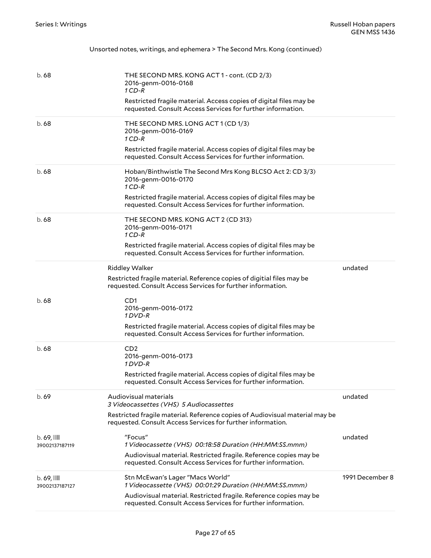### Unsorted notes, writings, and ephemera > The Second Mrs. Kong (continued)

| b. 68                                     | THE SECOND MRS. KONG ACT 1 - cont. (CD 2/3)<br>2016-genm-0016-0168<br>$1CD-R$<br>Restricted fragile material. Access copies of digital files may be<br>requested. Consult Access Services for further information.                |                 |
|-------------------------------------------|-----------------------------------------------------------------------------------------------------------------------------------------------------------------------------------------------------------------------------------|-----------------|
| b. 68                                     | THE SECOND MRS. LONG ACT 1 (CD 1/3)<br>2016-genm-0016-0169<br>$1CD-R$<br>Restricted fragile material. Access copies of digital files may be<br>requested. Consult Access Services for further information.                        |                 |
| b. 68                                     | Hoban/Binthwistle The Second Mrs Kong BLCSO Act 2: CD 3/3)<br>2016-genm-0016-0170<br>$1CD-R$<br>Restricted fragile material. Access copies of digital files may be<br>requested. Consult Access Services for further information. |                 |
| b. 68                                     | THE SECOND MRS. KONG ACT 2 (CD 313)<br>2016-genm-0016-0171<br>$1CD-R$<br>Restricted fragile material. Access copies of digital files may be<br>requested. Consult Access Services for further information.                        |                 |
|                                           | Riddley Walker<br>Restricted fragile material. Reference copies of digitial files may be<br>requested. Consult Access Services for further information.                                                                           | undated         |
| b. 68                                     | CD <sub>1</sub><br>2016-genm-0016-0172<br>1 DVD-R<br>Restricted fragile material. Access copies of digital files may be<br>requested. Consult Access Services for further information.                                            |                 |
| b.68                                      | CD2<br>2016-genm-0016-0173<br>1 DVD-R<br>Restricted fragile material. Access copies of digital files may be<br>requested. Consult Access Services for further information.                                                        |                 |
| b. 69                                     | Audiovisual materials<br>3 Videocassettes (VHS) 5 Audiocassettes<br>Restricted fragile material. Reference copies of Audiovisual material may be<br>requested. Consult Access Services for further information.                   | undated         |
| $b.69$ , $\blacksquare$<br>39002137187119 | "Focus"<br>1 Videocassette (VHS) 00:18:58 Duration (HH:MM:SS.mmm)<br>Audiovisual material. Restricted fragile. Reference copies may be<br>requested. Consult Access Services for further information.                             | undated         |
| $b.69$ , $III$<br>39002137187127          | Stn McEwan's Lager "Macs World"<br>1 Videocassette (VHS) 00:01:29 Duration (HH:MM:SS.mmm)<br>Audiovisual material. Restricted fragile. Reference copies may be<br>requested. Consult Access Services for further information.     | 1991 December 8 |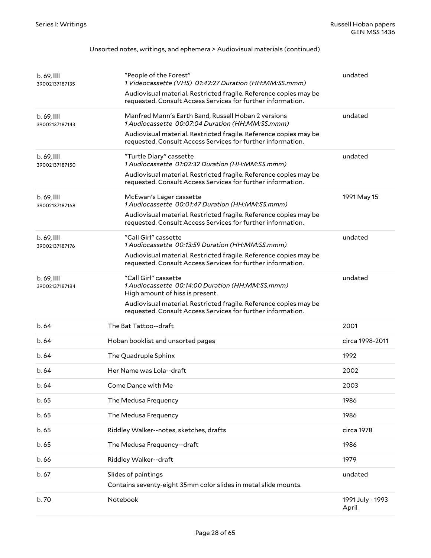#### Unsorted notes, writings, and ephemera > Audiovisual materials (continued)

| $b.69$ , $\blacksquare$<br>39002137187135 | "People of the Forest"<br>1 Videocassette (VHS) 01:42:27 Duration (HH:MM:SS.mmm)<br>Audiovisual material. Restricted fragile. Reference copies may be<br>requested. Consult Access Services for further information.                            | undated                   |
|-------------------------------------------|-------------------------------------------------------------------------------------------------------------------------------------------------------------------------------------------------------------------------------------------------|---------------------------|
| $b.69$ , $11$<br>39002137187143           | Manfred Mann's Earth Band, Russell Hoban 2 versions<br>1 Audiocassette 00:07:04 Duration (HH:MM:SS.mmm)<br>Audiovisual material. Restricted fragile. Reference copies may be<br>requested. Consult Access Services for further information.     | undated                   |
| $b.69$ , $11$<br>39002137187150           | "Turtle Diary" cassette<br>1 Audiocassette 01:02:32 Duration (HH:MM:SS.mmm)<br>Audiovisual material. Restricted fragile. Reference copies may be<br>requested. Consult Access Services for further information.                                 | undated                   |
| $b.69$ , $11$<br>39002137187168           | McEwan's Lager cassette<br>1 Audiocassette 00:01:47 Duration (HH:MM:SS.mmm)<br>Audiovisual material. Restricted fragile. Reference copies may be<br>requested. Consult Access Services for further information.                                 | 1991 May 15               |
| $b.69$ , $\blacksquare$<br>39002137187176 | "Call Girl" cassette<br>1 Audiocassette 00:13:59 Duration (HH:MM:SS.mmm)<br>Audiovisual material. Restricted fragile. Reference copies may be<br>requested. Consult Access Services for further information.                                    | undated                   |
| $b.69$ , $\blacksquare$<br>39002137187184 | "Call Girl" cassette<br>1 Audiocassette 00:14:00 Duration (HH:MM:SS.mmm)<br>High amount of hiss is present.<br>Audiovisual material. Restricted fragile. Reference copies may be<br>requested. Consult Access Services for further information. | undated                   |
| b.64                                      | The Bat Tattoo--draft                                                                                                                                                                                                                           | 2001                      |
| b. 64                                     | Hoban booklist and unsorted pages                                                                                                                                                                                                               | circa 1998-2011           |
| b.64                                      | The Quadruple Sphinx                                                                                                                                                                                                                            | 1992                      |
| b. 64                                     | Her Name was Lola--draft                                                                                                                                                                                                                        | 2002                      |
| b. 64                                     | Come Dance with Me                                                                                                                                                                                                                              | 2003                      |
| b. 65                                     | The Medusa Frequency                                                                                                                                                                                                                            | 1986                      |
| b. 65                                     | The Medusa Frequency                                                                                                                                                                                                                            | 1986                      |
| b. 65                                     | Riddley Walker--notes, sketches, drafts                                                                                                                                                                                                         | circa 1978                |
| b.65                                      | The Medusa Frequency--draft                                                                                                                                                                                                                     | 1986                      |
| b.66                                      | Riddley Walker--draft                                                                                                                                                                                                                           | 1979                      |
| b.67                                      | Slides of paintings<br>Contains seventy-eight 35mm color slides in metal slide mounts.                                                                                                                                                          | undated                   |
| b.70                                      | Notebook                                                                                                                                                                                                                                        | 1991 July - 1993<br>April |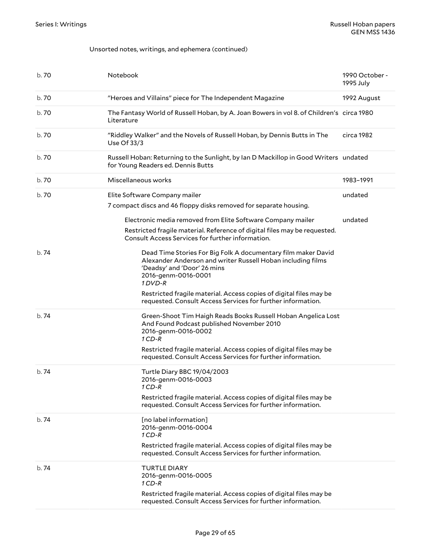#### Unsorted notes, writings, and ephemera (continued)

| b. 70 | Notebook                                                                                                                                                                                                                                                            | 1990 October -<br>1995 July |
|-------|---------------------------------------------------------------------------------------------------------------------------------------------------------------------------------------------------------------------------------------------------------------------|-----------------------------|
| b.70  | "Heroes and Villains" piece for The Independent Magazine                                                                                                                                                                                                            | 1992 August                 |
| b.70  | The Fantasy World of Russell Hoban, by A. Joan Bowers in vol 8. of Children's circa 1980<br>Literature                                                                                                                                                              |                             |
| b. 70 | "Riddley Walker" and the Novels of Russell Hoban, by Dennis Butts in The<br>Use Of 33/3                                                                                                                                                                             | circa 1982                  |
| b. 70 | Russell Hoban: Returning to the Sunlight, by Ian D Mackillop in Good Writers undated<br>for Young Readers ed. Dennis Butts                                                                                                                                          |                             |
| b. 70 | Miscellaneous works                                                                                                                                                                                                                                                 | 1983-1991                   |
| b. 70 | Elite Software Company mailer<br>7 compact discs and 46 floppy disks removed for separate housing.                                                                                                                                                                  | undated                     |
|       | Electronic media removed from Elite Software Company mailer<br>Restricted fragile material. Reference of digital files may be requested.<br>Consult Access Services for further information.                                                                        | undated                     |
| b.74  | Dead Time Stories For Big Folk A documentary film maker David<br>Alexander Anderson and writer Russell Hoban including films<br>'Deadsy' and 'Door' 26 mins<br>2016-genm-0016-0001<br>1 DVD-R<br>Restricted fragile material. Access copies of digital files may be |                             |
| b.74  | requested. Consult Access Services for further information.<br>Green-Shoot Tim Haigh Reads Books Russell Hoban Angelica Lost<br>And Found Podcast published November 2010                                                                                           |                             |
|       | 2016-genm-0016-0002<br>$1$ CD-R                                                                                                                                                                                                                                     |                             |
|       | Restricted fragile material. Access copies of digital files may be<br>requested. Consult Access Services for further information.                                                                                                                                   |                             |
| b.74  | Turtle Diary BBC 19/04/2003<br>2016-genm-0016-0003<br>1 CD-R                                                                                                                                                                                                        |                             |
|       | Restricted fragile material. Access copies of digital files may be<br>requested. Consult Access Services for further information.                                                                                                                                   |                             |
| b.74  | [no label information]<br>2016-genm-0016-0004<br>$1CD-R$                                                                                                                                                                                                            |                             |
|       | Restricted fragile material. Access copies of digital files may be<br>requested. Consult Access Services for further information.                                                                                                                                   |                             |
| b. 74 | <b>TURTLE DIARY</b><br>2016-genm-0016-0005<br>$1CD-R$                                                                                                                                                                                                               |                             |
|       | Restricted fragile material. Access copies of digital files may be<br>requested. Consult Access Services for further information.                                                                                                                                   |                             |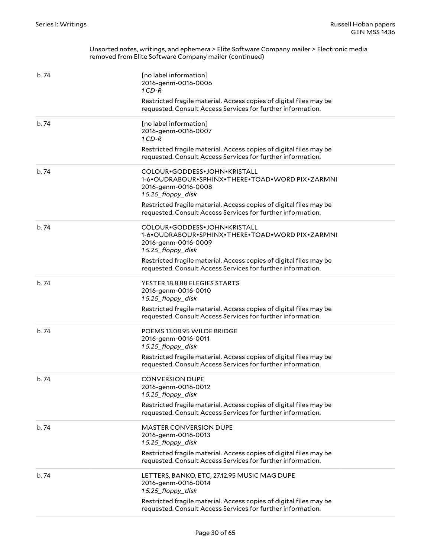| b.74 | [no label information]<br>2016-genm-0016-0006<br>$1$ CD-R<br>Restricted fragile material. Access copies of digital files may be<br>requested. Consult Access Services for further information.                                                                   |
|------|------------------------------------------------------------------------------------------------------------------------------------------------------------------------------------------------------------------------------------------------------------------|
| b.74 | [no label information]<br>2016-genm-0016-0007<br>$1CD-R$<br>Restricted fragile material. Access copies of digital files may be<br>requested. Consult Access Services for further information.                                                                    |
| b.74 | COLOUR•GODDESS•JOHN•KRISTALL<br>1-6.OUDRABOUR.SPHINX.THERE.TOAD.WORD PIX.ZARMNI<br>2016-genm-0016-0008<br>15.25_floppy_disk<br>Restricted fragile material. Access copies of digital files may be<br>requested. Consult Access Services for further information. |
| b.74 | COLOUR.GODDESS.JOHN.KRISTALL<br>1-6•OUDRABOUR•SPHINX•THERE•TOAD•WORD PIX•ZARMNI<br>2016-genm-0016-0009<br>15.25_floppy_disk<br>Restricted fragile material. Access copies of digital files may be<br>requested. Consult Access Services for further information. |
| b.74 | YESTER 18.8.88 ELEGIES STARTS<br>2016-genm-0016-0010<br>15.25_floppy_disk<br>Restricted fragile material. Access copies of digital files may be<br>requested. Consult Access Services for further information.                                                   |
| b.74 | POEMS 13.08.95 WILDE BRIDGE<br>2016-genm-0016-0011<br>15.25_floppy_disk<br>Restricted fragile material. Access copies of digital files may be<br>requested. Consult Access Services for further information.                                                     |
| b.74 | <b>CONVERSION DUPE</b><br>2016-genm-0016-0012<br>15.25 floppy disk<br>Restricted fragile material. Access copies of digital files may be<br>requested. Consult Access Services for further information.                                                          |
| b.74 | <b>MASTER CONVERSION DUPE</b><br>2016-genm-0016-0013<br>15.25_floppy_disk<br>Restricted fragile material. Access copies of digital files may be<br>requested. Consult Access Services for further information.                                                   |
| b.74 | LETTERS, BANKO, ETC, 27.12.95 MUSIC MAG DUPE<br>2016-genm-0016-0014<br>15.25_floppy_disk<br>Restricted fragile material. Access copies of digital files may be<br>requested. Consult Access Services for further information.                                    |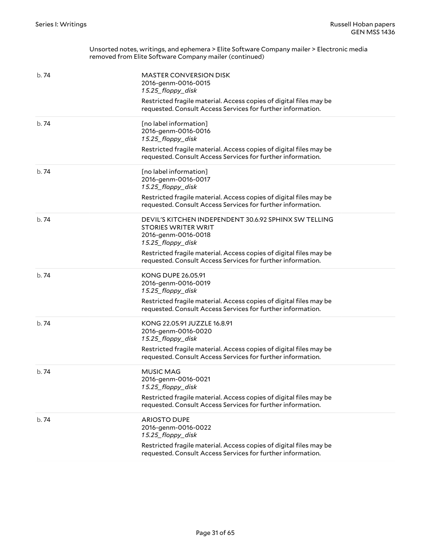| b. 74 | <b>MASTER CONVERSION DISK</b><br>2016-genm-0016-0015<br>15.25_floppy_disk<br>Restricted fragile material. Access copies of digital files may be<br>requested. Consult Access Services for further information.                                                       |
|-------|----------------------------------------------------------------------------------------------------------------------------------------------------------------------------------------------------------------------------------------------------------------------|
| b.74  | [no label information]<br>2016-genm-0016-0016<br>15.25_floppy_disk<br>Restricted fragile material. Access copies of digital files may be<br>requested. Consult Access Services for further information.                                                              |
| b.74  | [no label information]<br>2016-genm-0016-0017<br>15.25_floppy_disk<br>Restricted fragile material. Access copies of digital files may be<br>requested. Consult Access Services for further information.                                                              |
| b.74  | DEVIL'S KITCHEN INDEPENDENT 30.6.92 SPHINX SW TELLING<br><b>STORIES WRITER WRIT</b><br>2016-genm-0016-0018<br>15.25_floppy_disk<br>Restricted fragile material. Access copies of digital files may be<br>requested. Consult Access Services for further information. |
| b.74  | <b>KONG DUPE 26.05.91</b><br>2016-genm-0016-0019<br>15.25_floppy_disk<br>Restricted fragile material. Access copies of digital files may be<br>requested. Consult Access Services for further information.                                                           |
| b.74  | KONG 22.05.91 JUZZLE 16.8.91<br>2016-genm-0016-0020<br>15.25_floppy_disk<br>Restricted fragile material. Access copies of digital files may be<br>requested. Consult Access Services for further information.                                                        |
| b.74  | <b>MUSIC MAG</b><br>2016-genm-0016-0021<br>15.25_floppy_disk<br>Restricted fragile material. Access copies of digital files may be<br>requested. Consult Access Services for further information.                                                                    |
| b. 74 | <b>ARIOSTO DUPE</b><br>2016-genm-0016-0022<br>15.25_floppy_disk<br>Restricted fragile material. Access copies of digital files may be<br>requested. Consult Access Services for further information.                                                                 |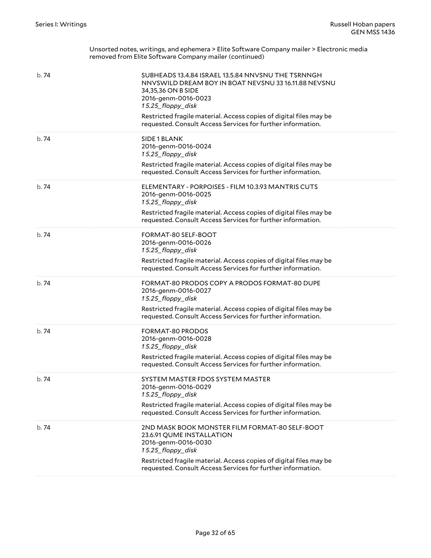| b.74  | SUBHEADS 13.4.84 ISRAEL 13.5.84 NNVSNU THE TSRNNGH<br>NNVSWILD DREAM BOY IN BOAT NEVSNU 33 16.11.88 NEVSNU<br>34,35,36 ON B SIDE<br>2016-genm-0016-0023<br>15.25_floppy_disk<br>Restricted fragile material. Access copies of digital files may be<br>requested. Consult Access Services for further information. |
|-------|-------------------------------------------------------------------------------------------------------------------------------------------------------------------------------------------------------------------------------------------------------------------------------------------------------------------|
| b.74  | SIDE 1 BLANK<br>2016-genm-0016-0024<br>15.25_floppy_disk<br>Restricted fragile material. Access copies of digital files may be<br>requested. Consult Access Services for further information.                                                                                                                     |
| b.74  | ELEMENTARY - PORPOISES - FILM 10.3.93 MANTRIS CUTS<br>2016-genm-0016-0025<br>15.25_floppy_disk<br>Restricted fragile material. Access copies of digital files may be<br>requested. Consult Access Services for further information.                                                                               |
| b.74  | FORMAT-80 SELF-BOOT<br>2016-genm-0016-0026<br>15.25_floppy_disk<br>Restricted fragile material. Access copies of digital files may be<br>requested. Consult Access Services for further information.                                                                                                              |
| b.74  | FORMAT-80 PRODOS COPY A PRODOS FORMAT-80 DUPE<br>2016-genm-0016-0027<br>15.25_floppy_disk<br>Restricted fragile material. Access copies of digital files may be<br>requested. Consult Access Services for further information.                                                                                    |
| b.74  | <b>FORMAT-80 PRODOS</b><br>2016-genm-0016-0028<br>15.25_floppy_disk<br>Restricted fragile material. Access copies of digital files may be<br>requested. Consult Access Services for further information.                                                                                                          |
| b. 74 | SYSTEM MASTER FDOS SYSTEM MASTER<br>2016-genm-0016-0029<br>15.25_floppy_disk<br>Restricted fragile material. Access copies of digital files may be<br>requested. Consult Access Services for further information.                                                                                                 |
| b. 74 | 2ND MASK BOOK MONSTER FILM FORMAT-80 SELF-BOOT<br>23.6.91 QUME INSTALLATION<br>2016-genm-0016-0030<br>15.25_floppy_disk<br>Restricted fragile material. Access copies of digital files may be<br>requested. Consult Access Services for further information.                                                      |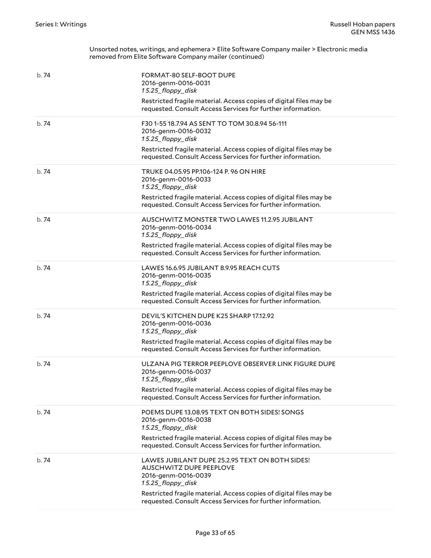| b.74  | FORMAT-80 SELF-BOOT DUPE<br>2016-genm-0016-0031<br>15.25_floppy_disk<br>Restricted fragile material. Access copies of digital files may be<br>requested. Consult Access Services for further information.                                                          |
|-------|--------------------------------------------------------------------------------------------------------------------------------------------------------------------------------------------------------------------------------------------------------------------|
| b.74  | F30 1-55 18.7.94 AS SENT TO TOM 30.8.94 56-111<br>2016-genm-0016-0032<br>15.25_floppy_disk<br>Restricted fragile material. Access copies of digital files may be<br>requested. Consult Access Services for further information.                                    |
| b.74  | TRUKE 04.05.95 PP.106-124 P. 96 ON HIRE<br>2016-genm-0016-0033<br>15.25_floppy_disk<br>Restricted fragile material. Access copies of digital files may be<br>requested. Consult Access Services for further information.                                           |
| b.74  | AUSCHWITZ MONSTER TWO LAWES 11.2.95 JUBILANT<br>2016-genm-0016-0034<br>15.25_floppy_disk<br>Restricted fragile material. Access copies of digital files may be<br>requested. Consult Access Services for further information.                                      |
| h.74  | LAWES 16.6.95 JUBILANT 8.9.95 REACH CUTS<br>2016-genm-0016-0035<br>15.25_floppy_disk<br>Restricted fragile material. Access copies of digital files may be<br>requested. Consult Access Services for further information.                                          |
| b.74  | DEVIL'S KITCHEN DUPE K25 SHARP 17.12.92<br>2016-genm-0016-0036<br>15.25_floppy_disk<br>Restricted fragile material. Access copies of digital files may be<br>requested. Consult Access Services for further information.                                           |
| b. 74 | ULZANA PIG TERROR PEEPLOVE OBSERVER LINK FIGURE DUPE<br>2016-genm-0016-0037<br>15.25_floppy_disk<br>Restricted fragile material. Access copies of digital files may be<br>requested. Consult Access Services for further information.                              |
| b. 74 | POEMS DUPE 13.08.95 TEXT ON BOTH SIDES! SONGS<br>2016-genm-0016-0038<br>15.25 floppy disk<br>Restricted fragile material. Access copies of digital files may be<br>requested. Consult Access Services for further information.                                     |
| b.74  | LAWES JUBILANT DUPE 25.2.95 TEXT ON BOTH SIDES!<br><b>AUSCHWITZ DUPE PEEPLOVE</b><br>2016-genm-0016-0039<br>15.25_floppy_disk<br>Restricted fragile material. Access copies of digital files may be<br>requested. Consult Access Services for further information. |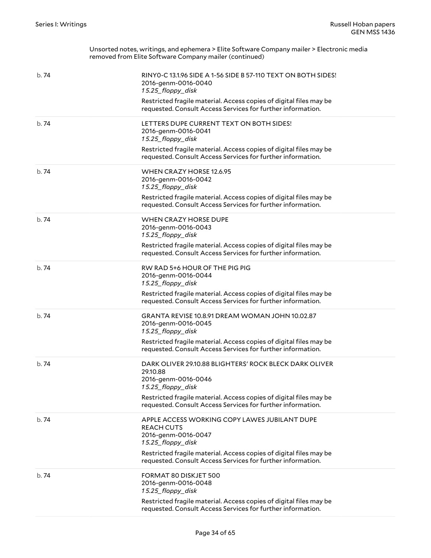| b. 74 | RINYO-C 13.1.96 SIDE A 1-56 SIDE B 57-110 TEXT ON BOTH SIDES!<br>2016-genm-0016-0040<br>15.25_floppy_disk<br>Restricted fragile material. Access copies of digital files may be<br>requested. Consult Access Services for further information.      |
|-------|-----------------------------------------------------------------------------------------------------------------------------------------------------------------------------------------------------------------------------------------------------|
| b.74  | LETTERS DUPE CURRENT TEXT ON BOTH SIDES!<br>2016-genm-0016-0041<br>15.25_floppy_disk<br>Restricted fragile material. Access copies of digital files may be<br>requested. Consult Access Services for further information.                           |
| b. 74 | WHEN CRAZY HORSE 12.6.95<br>2016-genm-0016-0042<br>15.25_floppy_disk<br>Restricted fragile material. Access copies of digital files may be<br>requested. Consult Access Services for further information.                                           |
| b. 74 | WHEN CRAZY HORSE DUPE<br>2016-genm-0016-0043<br>15.25_floppy_disk<br>Restricted fragile material. Access copies of digital files may be<br>requested. Consult Access Services for further information.                                              |
| b. 74 | RW RAD 5+6 HOUR OF THE PIG PIG<br>2016-genm-0016-0044<br>15.25_floppy_disk<br>Restricted fragile material. Access copies of digital files may be<br>requested. Consult Access Services for further information.                                     |
| b. 74 | GRANTA REVISE 10.8.91 DREAM WOMAN JOHN 10.02.87<br>2016-genm-0016-0045<br>15.25_floppy_disk<br>Restricted fragile material. Access copies of digital files may be<br>requested. Consult Access Services for further information.                    |
| b. 74 | DARK OLIVER 29.10.88 BLIGHTERS' ROCK BLECK DARK OLIVER<br>29.10.88<br>2016-genm-0016-0046<br>15.25_floppy_disk<br>Restricted fragile material. Access copies of digital files may be<br>requested. Consult Access Services for further information. |
| b. 74 | APPLE ACCESS WORKING COPY LAWES JUBILANT DUPE<br><b>REACH CUTS</b><br>2016-genm-0016-0047<br>15.25_floppy_disk<br>Restricted fragile material. Access copies of digital files may be<br>requested. Consult Access Services for further information. |
| b. 74 | FORMAT 80 DISKJET 500<br>2016-genm-0016-0048<br>15.25_floppy_disk<br>Restricted fragile material. Access copies of digital files may be<br>requested. Consult Access Services for further information.                                              |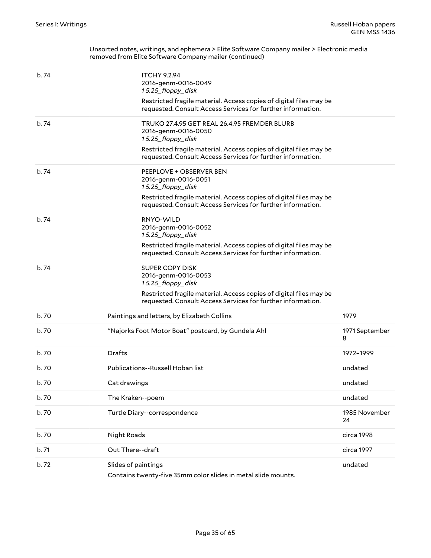| b.74  | <b>ITCHY 9.2.94</b><br>2016-genm-0016-0049<br>15.25_floppy_disk                                                                   |                     |
|-------|-----------------------------------------------------------------------------------------------------------------------------------|---------------------|
|       | Restricted fragile material. Access copies of digital files may be<br>requested. Consult Access Services for further information. |                     |
| b.74  | TRUKO 27.4.95 GET REAL 26.4.95 FREMDER BLURB<br>2016-genm-0016-0050<br>15.25_floppy_disk                                          |                     |
|       | Restricted fragile material. Access copies of digital files may be<br>requested. Consult Access Services for further information. |                     |
| b.74  | PEEPLOVE + OBSERVER BEN<br>2016-genm-0016-0051<br>15.25_floppy_disk                                                               |                     |
|       | Restricted fragile material. Access copies of digital files may be<br>requested. Consult Access Services for further information. |                     |
| b.74  | RNYO-WILD<br>2016-genm-0016-0052<br>15.25_floppy_disk                                                                             |                     |
|       | Restricted fragile material. Access copies of digital files may be<br>requested. Consult Access Services for further information. |                     |
| b.74  | <b>SUPER COPY DISK</b><br>2016-genm-0016-0053<br>15.25_floppy_disk                                                                |                     |
|       | Restricted fragile material. Access copies of digital files may be<br>requested. Consult Access Services for further information. |                     |
| b. 70 | Paintings and letters, by Elizabeth Collins                                                                                       | 1979                |
| b. 70 | "Najorks Foot Motor Boat" postcard, by Gundela Ahl                                                                                | 1971 September<br>8 |
| b. 70 | <b>Drafts</b>                                                                                                                     | 1972-1999           |
| b. 70 | Publications--Russell Hoban list                                                                                                  | undated             |
| b. 70 | Cat drawings                                                                                                                      | undated             |
| b.70  | The Kraken--poem                                                                                                                  | undated             |
| b. 70 | Turtle Diary--correspondence                                                                                                      | 1985 November<br>24 |
| b. 70 | Night Roads                                                                                                                       | circa 1998          |
| b. 71 | Out There--draft                                                                                                                  | circa 1997          |
| b. 72 | Slides of paintings<br>Contains twenty-five 35mm color slides in metal slide mounts.                                              | undated             |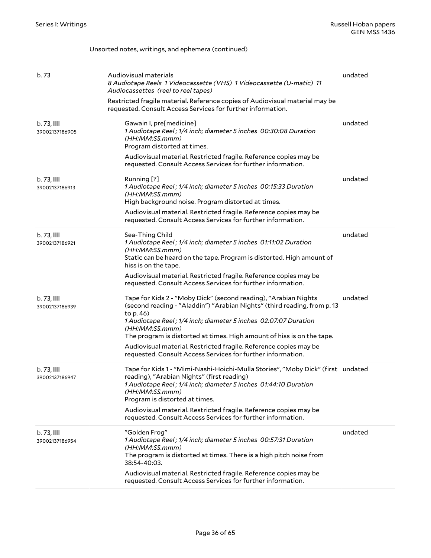#### b. 73 Audiovisual materials *8 Audiotape Reels 1 Videocassette (VHS) 1 Videocassette (U-matic) 11 Audiocassettes (reel to reel tapes)* Restricted fragile material. Reference copies of Audiovisual material may be requested. Consult Access Services for further information. undated b. 73, 39002137186905 Gawain I, pre[medicine] *1 Audiotape Reel ; 1/4 inch; diameter 5 inches 00:30:08 Duration (HH:MM:SS.mmm)* Program distorted at times. Audiovisual material. Restricted fragile. Reference copies may be requested. Consult Access Services for further information. undated  $b.73.$ 39002137186913 Running [?] *1 Audiotape Reel ; 1/4 inch; diameter 5 inches 00:15:33 Duration (HH:MM:SS.mmm)* High background noise. Program distorted at times. Audiovisual material. Restricted fragile. Reference copies may be requested. Consult Access Services for further information. undated b. 73, 39002137186921 Sea-Thing Child *1 Audiotape Reel ; 1/4 inch; diameter 5 inches 01:11:02 Duration (HH:MM:SS.mmm)* Static can be heard on the tape. Program is distorted. High amount of hiss is on the tape. Audiovisual material. Restricted fragile. Reference copies may be requested. Consult Access Services for further information. undated b. 73, 39002137186939 Tape for Kids 2 - "Moby Dick" (second reading), "Arabian Nights (second reading - "Aladdin") "Arabian Nights" (third reading, from p. 13 to p. 46) *1 Audiotape Reel ; 1/4 inch; diameter 5 inches 02:07:07 Duration (HH:MM:SS.mmm)* The program is distorted at times. High amount of hiss is on the tape. Audiovisual material. Restricted fragile. Reference copies may be requested. Consult Access Services for further information. undated  $b.73$ ,  $\blacksquare$ 39002137186947 Tape for Kids 1 - "Mimi-Nashi-Hoichi-Mulla Stories", "Moby Dick" (first undated reading), "Arabian Nights" (first reading) *1 Audiotape Reel ; 1/4 inch; diameter 5 inches 01:44:10 Duration (HH:MM:SS.mmm)* Program is distorted at times. Audiovisual material. Restricted fragile. Reference copies may be requested. Consult Access Services for further information.  $b.73$ ,  $III$ 39002137186954 "Golden Frog" *1 Audiotape Reel ; 1/4 inch; diameter 5 inches 00:57:31 Duration (HH:MM:SS.mmm)* The program is distorted at times. There is a high pitch noise from 38:54-40:03. Audiovisual material. Restricted fragile. Reference copies may be requested. Consult Access Services for further information. undated

Unsorted notes, writings, and ephemera (continued)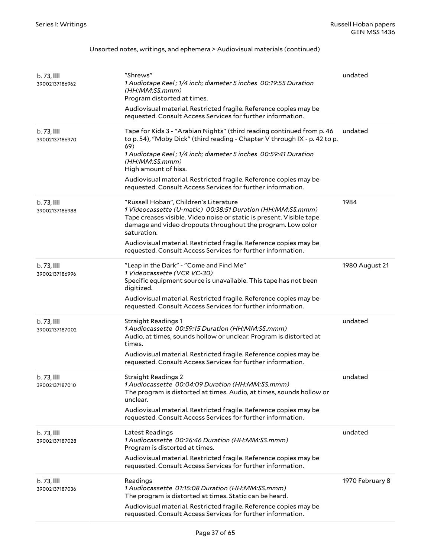#### Unsorted notes, writings, and ephemera > Audiovisual materials (continued)

| b.73,<br>39002137186962                   | "Shrews"<br>1 Audiotape Reel; 1/4 inch; diameter 5 inches 00:19:55 Duration<br>(HH:MM:SS.mmm)<br>Program distorted at times.<br>Audiovisual material. Restricted fragile. Reference copies may be<br>requested. Consult Access Services for further information.                                                                                                                                             | undated         |
|-------------------------------------------|--------------------------------------------------------------------------------------------------------------------------------------------------------------------------------------------------------------------------------------------------------------------------------------------------------------------------------------------------------------------------------------------------------------|-----------------|
| $b.73$ , $\blacksquare$<br>39002137186970 | Tape for Kids 3 - "Arabian Nights" (third reading continued from p. 46<br>to p. 54), "Moby Dick" (third reading - Chapter V through IX - p. 42 to p.<br>69)<br>1 Audiotape Reel; 1/4 inch; diameter 5 inches 00:59:41 Duration<br>(HH:MM:SS.mmm)<br>High amount of hiss.<br>Audiovisual material. Restricted fragile. Reference copies may be<br>requested. Consult Access Services for further information. | undated         |
| b.73,<br>39002137186988                   | "Russell Hoban", Children's Literature<br>1 Videocassette (U-matic) 00:38:51 Duration (HH:MM:SS.mmm)<br>Tape creases visible. Video noise or static is present. Visible tape<br>damage and video dropouts throughout the program. Low color<br>saturation.<br>Audiovisual material. Restricted fragile. Reference copies may be<br>requested. Consult Access Services for further information.               | 1984            |
| $b.73$ , $\blacksquare$<br>39002137186996 | "Leap in the Dark" - "Come and Find Me"<br>1 Videocassette (VCR VC-30)<br>Specific equipment source is unavailable. This tape has not been<br>digitized.<br>Audiovisual material. Restricted fragile. Reference copies may be<br>requested. Consult Access Services for further information.                                                                                                                 | 1980 August 21  |
| $b.73$ , $III$<br>39002137187002          | <b>Straight Readings 1</b><br>1 Audiocassette 00:59:15 Duration (HH:MM:SS.mmm)<br>Audio, at times, sounds hollow or unclear. Program is distorted at<br>times.<br>Audiovisual material. Restricted fragile. Reference copies may be<br>requested. Consult Access Services for further information.                                                                                                           | undated         |
| $b.73$ , $\blacksquare$<br>39002137187010 | <b>Straight Readings 2</b><br>1 Audiocassette 00:04:09 Duration (HH:MM:SS.mmm)<br>The program is distorted at times. Audio, at times, sounds hollow or<br>unclear.<br>Audiovisual material. Restricted fragile. Reference copies may be<br>requested. Consult Access Services for further information.                                                                                                       | undated         |
| b.73,<br>39002137187028                   | Latest Readings<br>1 Audiocassette 00:26:46 Duration (HH:MM:SS.mmm)<br>Program is distorted at times.<br>Audiovisual material. Restricted fragile. Reference copies may be<br>requested. Consult Access Services for further information.                                                                                                                                                                    | undated         |
| b.73,<br>39002137187036                   | Readings<br>1 Audiocassette 01:15:08 Duration (HH:MM:SS.mmm)<br>The program is distorted at times. Static can be heard.<br>Audiovisual material. Restricted fragile. Reference copies may be<br>requested. Consult Access Services for further information.                                                                                                                                                  | 1970 February 8 |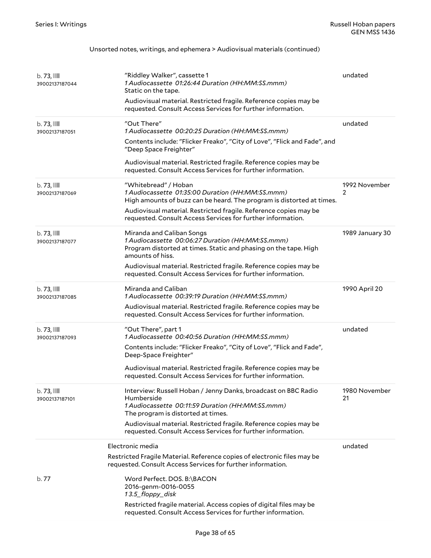#### Unsorted notes, writings, and ephemera > Audiovisual materials (continued)

| $b.73$ , $111$<br>39002137187044          | "Riddley Walker", cassette 1<br>1 Audiocassette 01:26:44 Duration (HH:MM:SS.mmm)<br>Static on the tape.<br>Audiovisual material. Restricted fragile. Reference copies may be<br>requested. Consult Access Services for further information.                                                                                                                                | undated             |
|-------------------------------------------|----------------------------------------------------------------------------------------------------------------------------------------------------------------------------------------------------------------------------------------------------------------------------------------------------------------------------------------------------------------------------|---------------------|
| $b.73$ , $\blacksquare$<br>39002137187051 | "Out There"<br>1 Audiocassette 00:20:25 Duration (HH:MM:SS.mmm)<br>Contents include: "Flicker Freako", "City of Love", "Flick and Fade", and<br>"Deep Space Freighter"<br>Audiovisual material. Restricted fragile. Reference copies may be<br>requested. Consult Access Services for further information.                                                                 | undated             |
| $b.73$ , $111$<br>39002137187069          | "Whitebread" / Hoban<br>1 Audiocassette 01:35:00 Duration (HH:MM:SS.mmm)<br>High amounts of buzz can be heard. The program is distorted at times.<br>Audiovisual material. Restricted fragile. Reference copies may be<br>requested. Consult Access Services for further information.                                                                                      | 1992 November<br>2  |
| $b.73$ , $\blacksquare$<br>39002137187077 | Miranda and Caliban Songs<br>1 Audiocassette 00:06:27 Duration (HH:MM:SS.mmm)<br>Program distorted at times. Static and phasing on the tape. High<br>amounts of hiss.<br>Audiovisual material. Restricted fragile. Reference copies may be<br>requested. Consult Access Services for further information.                                                                  | 1989 January 30     |
| $b.73$ , $\blacksquare$<br>39002137187085 | Miranda and Caliban<br>1 Audiocassette 00:39:19 Duration (HH:MM:SS.mmm)<br>Audiovisual material. Restricted fragile. Reference copies may be<br>requested. Consult Access Services for further information.                                                                                                                                                                | 1990 April 20       |
| $b.73$ , $\blacksquare$<br>39002137187093 | "Out There", part 1<br>1 Audiocassette 00:40:56 Duration (HH:MM:SS.mmm)<br>Contents include: "Flicker Freako", "City of Love", "Flick and Fade",<br>Deep-Space Freighter"<br>Audiovisual material. Restricted fragile. Reference copies may be<br>requested. Consult Access Services for further information.                                                              | undated             |
| $b.73$ , $111$<br>39002137187101          | Interview: Russell Hoban / Jenny Danks, broadcast on BBC Radio<br>Humberside<br>1 Audiocassette 00:11:59 Duration (HH:MM:SS.mmm)<br>The program is distorted at times.<br>Audiovisual material. Restricted fragile. Reference copies may be<br>requested. Consult Access Services for further information.                                                                 | 1980 November<br>21 |
| b. 77                                     | Electronic media<br>Restricted Fragile Material. Reference copies of electronic files may be<br>requested. Consult Access Services for further information.<br>Word Perfect. DOS. B:\BACON<br>2016-genm-0016-0055<br>13.5_floppy_disk<br>Restricted fragile material. Access copies of digital files may be<br>requested. Consult Access Services for further information. | undated             |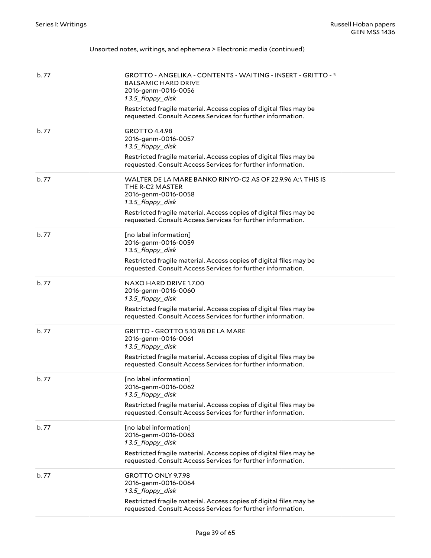| Unsorted notes, writings, and ephemera > Electronic media (continued) |  |  |  |  |  |
|-----------------------------------------------------------------------|--|--|--|--|--|
|-----------------------------------------------------------------------|--|--|--|--|--|

| b. 77 | GROTTO - ANGELIKA - CONTENTS - WAITING - INSERT - GRITTO - *<br><b>BALSAMIC HARD DRIVE</b><br>2016-genm-0016-0056<br>13.5_floppy_disk<br>Restricted fragile material. Access copies of digital files may be<br>requested. Consult Access Services for further information. |
|-------|----------------------------------------------------------------------------------------------------------------------------------------------------------------------------------------------------------------------------------------------------------------------------|
| b.77  | GROTTO 4.4.98<br>2016-genm-0016-0057<br>13.5_floppy_disk<br>Restricted fragile material. Access copies of digital files may be<br>requested. Consult Access Services for further information.                                                                              |
| b.77  | WALTER DE LA MARE BANKO RINYO-C2 AS OF 22.9.96 A:\ THIS IS<br>THE R-C2 MASTER<br>2016-genm-0016-0058<br>13.5_floppy_disk<br>Restricted fragile material. Access copies of digital files may be<br>requested. Consult Access Services for further information.              |
| b. 77 | [no label information]<br>2016-genm-0016-0059<br>13.5_floppy_disk<br>Restricted fragile material. Access copies of digital files may be<br>requested. Consult Access Services for further information.                                                                     |
| b.77  | NAXO HARD DRIVE 1.7.00<br>2016-genm-0016-0060<br>13.5_floppy_disk<br>Restricted fragile material. Access copies of digital files may be<br>requested. Consult Access Services for further information.                                                                     |
| b.77  | GRITTO - GROTTO 5.10.98 DE LA MARE<br>2016-genm-0016-0061<br>13.5_floppy_disk<br>Restricted fragile material. Access copies of digital files may be<br>requested. Consult Access Services for further information.                                                         |
| b. 77 | [no label information]<br>2016-genm-0016-0062<br>13.5 floppy disk<br>Restricted fragile material. Access copies of digital files may be<br>requested. Consult Access Services for further information.                                                                     |
| b. 77 | [no label information]<br>2016-genm-0016-0063<br>13.5_floppy_disk<br>Restricted fragile material. Access copies of digital files may be<br>requested. Consult Access Services for further information.                                                                     |
| b.77  | GROTTO ONLY 9.7.98<br>2016-genm-0016-0064<br>13.5_floppy_disk<br>Restricted fragile material. Access copies of digital files may be<br>requested. Consult Access Services for further information.                                                                         |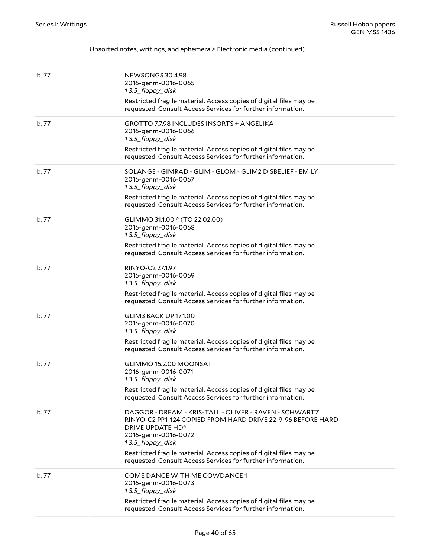| b. 77 | NEWSONGS 30.4.98<br>2016-genm-0016-0065<br>13.5_floppy_disk<br>Restricted fragile material. Access copies of digital files may be<br>requested. Consult Access Services for further information.                                                                                                                          |
|-------|---------------------------------------------------------------------------------------------------------------------------------------------------------------------------------------------------------------------------------------------------------------------------------------------------------------------------|
| b.77  | <b>GROTTO 7.7.98 INCLUDES INSORTS + ANGELIKA</b><br>2016-genm-0016-0066<br>13.5_floppy_disk<br>Restricted fragile material. Access copies of digital files may be<br>requested. Consult Access Services for further information.                                                                                          |
| b.77  | SOLANGE - GIMRAD - GLIM - GLOM - GLIM2 DISBELIEF - EMILY<br>2016-genm-0016-0067<br>13.5_floppy_disk<br>Restricted fragile material. Access copies of digital files may be<br>requested. Consult Access Services for further information.                                                                                  |
| b.77  | GLIMMO 31.1.00 * (TO 22.02.00)<br>2016-genm-0016-0068<br>13.5_floppy_disk<br>Restricted fragile material. Access copies of digital files may be<br>requested. Consult Access Services for further information.                                                                                                            |
| b.77  | RINYO-C2 27.1.97<br>2016-genm-0016-0069<br>13.5_floppy_disk<br>Restricted fragile material. Access copies of digital files may be<br>requested. Consult Access Services for further information.                                                                                                                          |
| b.77  | <b>GLIM3 BACK UP 17.1.00</b><br>2016-genm-0016-0070<br>13.5_floppy_disk<br>Restricted fragile material. Access copies of digital files may be<br>requested. Consult Access Services for further information.                                                                                                              |
| b. 77 | GLIMMO 15.2.00 MOONSAT<br>2016-genm-0016-0071<br>13.5_floppy_disk<br>Restricted fragile material. Access copies of digital files may be<br>requested. Consult Access Services for further information.                                                                                                                    |
| b. 77 | DAGGOR - DREAM - KRIS-TALL - OLIVER - RAVEN - SCHWARTZ<br>RINYO-C2 PP1-124 COPIED FROM HARD DRIVE 22-9-96 BEFORE HARD<br>DRIVE UPDATE HD*<br>2016-genm-0016-0072<br>13.5_floppy_disk<br>Restricted fragile material. Access copies of digital files may be<br>requested. Consult Access Services for further information. |
| b. 77 | COME DANCE WITH ME COWDANCE 1<br>2016-genm-0016-0073<br>13.5_floppy_disk<br>Restricted fragile material. Access copies of digital files may be<br>requested. Consult Access Services for further information.                                                                                                             |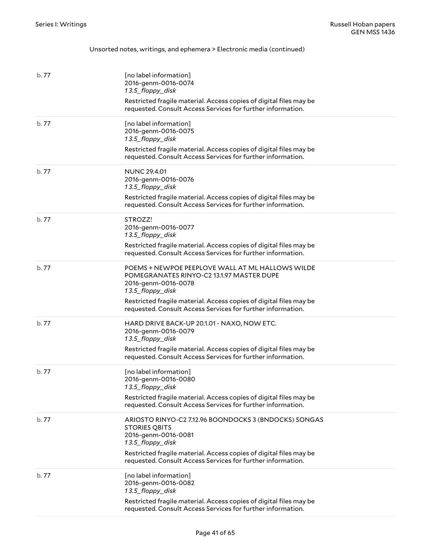| b.77  | [no label information]<br>2016-genm-0016-0074<br>13.5_floppy_disk<br>Restricted fragile material. Access copies of digital files may be<br>requested. Consult Access Services for further information.                                                                        |
|-------|-------------------------------------------------------------------------------------------------------------------------------------------------------------------------------------------------------------------------------------------------------------------------------|
| b.77  | [no label information]<br>2016-genm-0016-0075<br>13.5_floppy_disk<br>Restricted fragile material. Access copies of digital files may be<br>requested. Consult Access Services for further information.                                                                        |
| b. 77 | <b>NUNC 29.4.01</b><br>2016-genm-0016-0076<br>13.5_floppy_disk<br>Restricted fragile material. Access copies of digital files may be<br>requested. Consult Access Services for further information.                                                                           |
| b.77  | STROZZ!<br>2016-genm-0016-0077<br>13.5_floppy_disk<br>Restricted fragile material. Access copies of digital files may be<br>requested. Consult Access Services for further information.                                                                                       |
| b. 77 | POEMS + NEWPOE PEEPLOVE WALL AT ML HALLOWS WILDE<br>POMEGRANATES RINYO-C2 13.1.97 MASTER DUPE<br>2016-genm-0016-0078<br>13.5_floppy_disk<br>Restricted fragile material. Access copies of digital files may be<br>requested. Consult Access Services for further information. |
| b.77  | HARD DRIVE BACK-UP 20.1.01 - NAXO, NOW ETC.<br>2016-genm-0016-0079<br>13.5_floppy_disk<br>Restricted fragile material. Access copies of digital files may be<br>requested. Consult Access Services for further information.                                                   |
| b. 77 | [no label information]<br>2016-genm-0016-0080<br>13.5_floppy_disk<br>Restricted fragile material. Access copies of digital files may be<br>requested. Consult Access Services for further information.                                                                        |
| b. 77 | ARIOSTO RINYO-C2 7.12.96 BOONDOCKS 3 (BNDOCKS) SONGAS<br><b>STORIES QBITS</b><br>2016-genm-0016-0081<br>13.5 floppy disk<br>Restricted fragile material. Access copies of digital files may be<br>requested. Consult Access Services for further information.                 |
| b. 77 | [no label information]<br>2016-genm-0016-0082<br>13.5_floppy_disk<br>Restricted fragile material. Access copies of digital files may be<br>requested. Consult Access Services for further information.                                                                        |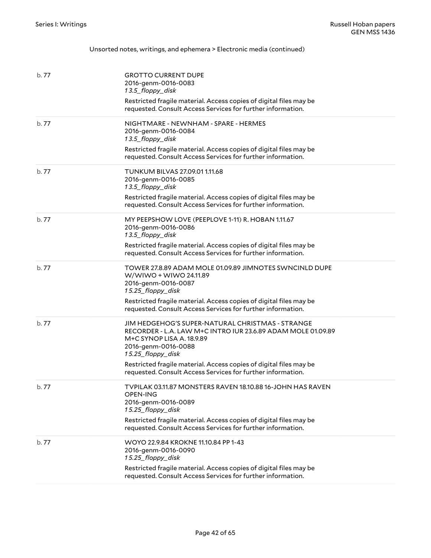| b. 77 | <b>GROTTO CURRENT DUPE</b><br>2016-genm-0016-0083<br>13.5_floppy_disk<br>Restricted fragile material. Access copies of digital files may be<br>requested. Consult Access Services for further information.                                                                                                                     |
|-------|--------------------------------------------------------------------------------------------------------------------------------------------------------------------------------------------------------------------------------------------------------------------------------------------------------------------------------|
| b.77  | NIGHTMARE - NEWNHAM - SPARE - HERMES<br>2016-genm-0016-0084<br>13.5_floppy_disk<br>Restricted fragile material. Access copies of digital files may be<br>requested. Consult Access Services for further information.                                                                                                           |
| b.77  | TUNKUM BILVAS 27.09.01 1.11.68<br>2016-genm-0016-0085<br>13.5_floppy_disk<br>Restricted fragile material. Access copies of digital files may be<br>requested. Consult Access Services for further information.                                                                                                                 |
| b.77  | MY PEEPSHOW LOVE (PEEPLOVE 1-11) R. HOBAN 1.11.67<br>2016-genm-0016-0086<br>13.5_floppy_disk<br>Restricted fragile material. Access copies of digital files may be<br>requested. Consult Access Services for further information.                                                                                              |
| b.77  | TOWER 27.8.89 ADAM MOLE 01.09.89 JIMNOTES SWNCINLD DUPE<br>W/WIWO + WIWO 24.11.89<br>2016-genm-0016-0087<br>15.25_floppy_disk<br>Restricted fragile material. Access copies of digital files may be<br>requested. Consult Access Services for further information.                                                             |
| b.77  | JIM HEDGEHOG'S SUPER-NATURAL CHRISTMAS - STRANGE<br>RECORDER - L.A. LAW M+C INTRO IUR 23.6.89 ADAM MOLE 01.09.89<br>M+C SYNOP LISA A. 18.9.89<br>2016-genm-0016-0088<br>15.25_floppy_disk<br>Restricted fragile material. Access copies of digital files may be<br>requested. Consult Access Services for further information. |
| b.77  | TVPILAK 03.11.87 MONSTERS RAVEN 18.10.88 16-JOHN HAS RAVEN<br><b>OPEN-ING</b><br>2016-genm-0016-0089<br>15.25_floppy_disk<br>Restricted fragile material. Access copies of digital files may be<br>requested. Consult Access Services for further information.                                                                 |
| b.77  | WOYO 22.9.84 KROKNE 11.10.84 PP 1-43<br>2016-genm-0016-0090<br>15.25_floppy_disk<br>Restricted fragile material. Access copies of digital files may be<br>requested. Consult Access Services for further information.                                                                                                          |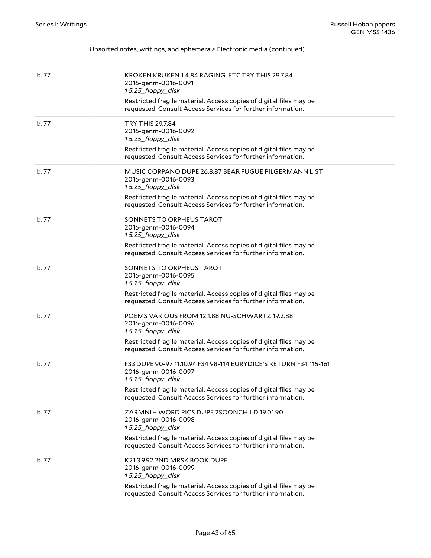| Unsorted notes, writings, and ephemera > Electronic media (continued) |  |  |  |  |  |
|-----------------------------------------------------------------------|--|--|--|--|--|
|-----------------------------------------------------------------------|--|--|--|--|--|

| b.77  | KROKEN KRUKEN 1.4.84 RAGING, ETC.TRY THIS 29.7.84<br>2016-genm-0016-0091                                                          |
|-------|-----------------------------------------------------------------------------------------------------------------------------------|
|       | 15.25_floppy_disk                                                                                                                 |
|       | Restricted fragile material. Access copies of digital files may be<br>requested. Consult Access Services for further information. |
| b.77  | <b>TRY THIS 29.7.84</b><br>2016-genm-0016-0092<br>15.25_floppy_disk                                                               |
|       | Restricted fragile material. Access copies of digital files may be<br>requested. Consult Access Services for further information. |
| b.77  | MUSIC CORPANO DUPE 26.8.87 BEAR FUGUE PILGERMANN LIST<br>2016-genm-0016-0093<br>15.25_floppy_disk                                 |
|       | Restricted fragile material. Access copies of digital files may be<br>requested. Consult Access Services for further information. |
| b.77  | SONNETS TO ORPHEUS TAROT<br>2016-genm-0016-0094<br>15.25_floppy_disk                                                              |
|       | Restricted fragile material. Access copies of digital files may be<br>requested. Consult Access Services for further information. |
| b. 77 | SONNETS TO ORPHEUS TAROT<br>2016-genm-0016-0095<br>15.25_floppy_disk                                                              |
|       | Restricted fragile material. Access copies of digital files may be<br>requested. Consult Access Services for further information. |
| b.77  | POEMS VARIOUS FROM 12.1.88 NU-SCHWARTZ 19.2.88<br>2016-genm-0016-0096<br>15.25_floppy_disk                                        |
|       | Restricted fragile material. Access copies of digital files may be<br>requested. Consult Access Services for further information. |
| b. 77 | F33 DUPE 90-97 11.10.94 F34 98-114 EURYDICE'S RETURN F34 115-161<br>2016-genm-0016-0097<br>15.25_floppy_disk                      |
|       | Restricted fragile material. Access copies of digital files may be<br>requested. Consult Access Services for further information. |
| b.77  | ZARMNI + WORD PICS DUPE 2SOONCHILD 19.01.90<br>2016-genm-0016-0098<br>15.25_floppy_disk                                           |
|       | Restricted fragile material. Access copies of digital files may be<br>requested. Consult Access Services for further information. |
| b. 77 | K213.9.92 2ND MRSK BOOK DUPE<br>2016-genm-0016-0099<br>15.25_floppy_disk                                                          |
|       | Restricted fragile material. Access copies of digital files may be<br>requested. Consult Access Services for further information. |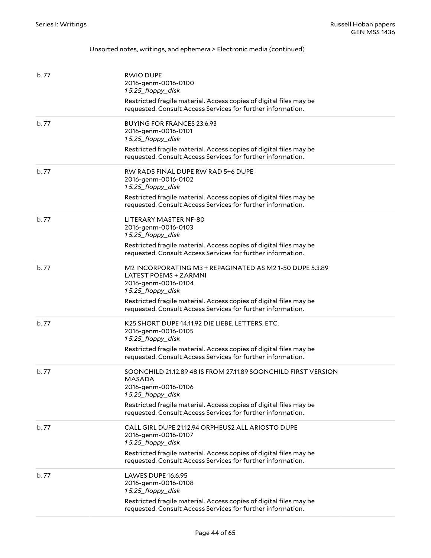| b. 77 | <b>RWIO DUPE</b><br>2016-genm-0016-0100<br>15.25_floppy_disk<br>Restricted fragile material. Access copies of digital files may be<br>requested. Consult Access Services for further information.                                                                  |
|-------|--------------------------------------------------------------------------------------------------------------------------------------------------------------------------------------------------------------------------------------------------------------------|
| b. 77 | <b>BUYING FOR FRANCES 23.6.93</b><br>2016-genm-0016-0101<br>15.25_floppy_disk<br>Restricted fragile material. Access copies of digital files may be<br>requested. Consult Access Services for further information.                                                 |
| b.77  | RW RAD5 FINAL DUPE RW RAD 5+6 DUPE<br>2016-genm-0016-0102<br>15.25_floppy_disk<br>Restricted fragile material. Access copies of digital files may be<br>requested. Consult Access Services for further information.                                                |
| b.77  | LITERARY MASTER NF-80<br>2016-genm-0016-0103<br>15.25_floppy_disk<br>Restricted fragile material. Access copies of digital files may be<br>requested. Consult Access Services for further information.                                                             |
| b.77  | M2 INCORPORATING M3 + REPAGINATED AS M2 1-50 DUPE 5.3.89<br>LATEST POEMS + ZARMNI<br>2016-genm-0016-0104<br>15.25_floppy_disk<br>Restricted fragile material. Access copies of digital files may be<br>requested. Consult Access Services for further information. |
| b. 77 | K25 SHORT DUPE 14.11.92 DIE LIEBE. LETTERS. ETC.<br>2016-genm-0016-0105<br>15.25_floppy_disk<br>Restricted fragile material. Access copies of digital files may be<br>requested. Consult Access Services for further information.                                  |
| b. 77 | SOONCHILD 21.12.89 48 IS FROM 27.11.89 SOONCHILD FIRST VERSION<br><b>MASADA</b><br>2016-genm-0016-0106<br>15.25_floppy_disk<br>Restricted fragile material. Access copies of digital files may be<br>requested. Consult Access Services for further information.   |
| b.77  | CALL GIRL DUPE 21.12.94 ORPHEUS2 ALL ARIOSTO DUPE<br>2016-genm-0016-0107<br>15.25_floppy_disk<br>Restricted fragile material. Access copies of digital files may be<br>requested. Consult Access Services for further information.                                 |
| b. 77 | LAWES DUPE 16.6.95<br>2016-genm-0016-0108<br>15.25_floppy_disk<br>Restricted fragile material. Access copies of digital files may be<br>requested. Consult Access Services for further information.                                                                |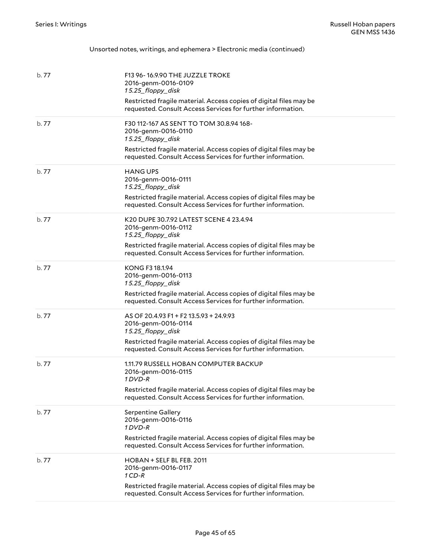| b. 77 | F13 96-16.9.90 THE JUZZLE TROKE<br>2016-genm-0016-0109<br>15.25_floppy_disk<br>Restricted fragile material. Access copies of digital files may be<br>requested. Consult Access Services for further information.         |
|-------|--------------------------------------------------------------------------------------------------------------------------------------------------------------------------------------------------------------------------|
| b.77  | F30 112-167 AS SENT TO TOM 30.8.94 168-<br>2016-genm-0016-0110<br>15.25_floppy_disk<br>Restricted fragile material. Access copies of digital files may be<br>requested. Consult Access Services for further information. |
| b. 77 | <b>HANG UPS</b><br>2016-genm-0016-0111<br>15.25_floppy_disk<br>Restricted fragile material. Access copies of digital files may be<br>requested. Consult Access Services for further information.                         |
| b. 77 | K20 DUPE 30.7.92 LATEST SCENE 4 23.4.94<br>2016-genm-0016-0112<br>15.25 floppy disk<br>Restricted fragile material. Access copies of digital files may be<br>requested. Consult Access Services for further information. |
| b.77  | KONG F3 18.1.94<br>2016-genm-0016-0113<br>15.25_floppy_disk<br>Restricted fragile material. Access copies of digital files may be<br>requested. Consult Access Services for further information.                         |
| b. 77 | AS OF 20.4.93 F1 + F2 13.5.93 + 24.9.93<br>2016-genm-0016-0114<br>15.25_floppy_disk<br>Restricted fragile material. Access copies of digital files may be<br>requested. Consult Access Services for further information. |
| b.77  | 1.11.79 RUSSELL HOBAN COMPUTER BACKUP<br>2016-genm-0016-0115<br>1 DVD-R<br>Restricted fragile material. Access copies of digital files may be<br>requested. Consult Access Services for further information.             |
| b. 77 | <b>Serpentine Gallery</b><br>2016-genm-0016-0116<br>1 DVD-R<br>Restricted fragile material. Access copies of digital files may be<br>requested. Consult Access Services for further information.                         |
| b. 77 | HOBAN + SELF BL FEB. 2011<br>2016-genm-0016-0117<br>$1CD-R$<br>Restricted fragile material. Access copies of digital files may be<br>requested. Consult Access Services for further information.                         |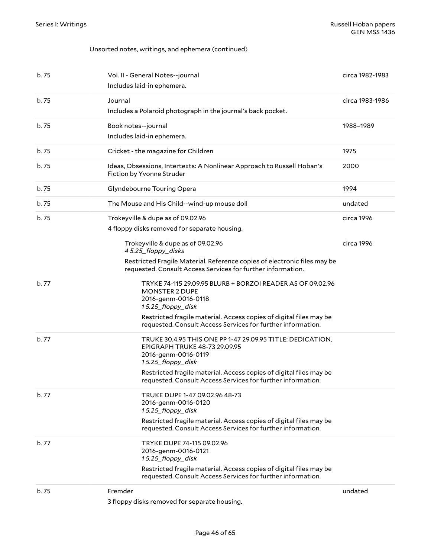#### Unsorted notes, writings, and ephemera (continued)

| b. 75 | Vol. II - General Notes--journal<br>Includes laid-in ephemera.                                                                                 | circa 1982-1983 |
|-------|------------------------------------------------------------------------------------------------------------------------------------------------|-----------------|
| b. 75 | Journal<br>Includes a Polaroid photograph in the journal's back pocket.                                                                        | circa 1983-1986 |
| b. 75 | Book notes--journal<br>Includes laid-in ephemera.                                                                                              | 1988-1989       |
| b. 75 | Cricket - the magazine for Children                                                                                                            | 1975            |
| b. 75 | Ideas, Obsessions, Intertexts: A Nonlinear Approach to Russell Hoban's<br>Fiction by Yvonne Struder                                            | 2000            |
| b.75  | Glyndebourne Touring Opera                                                                                                                     | 1994            |
| b. 75 | The Mouse and His Child--wind-up mouse doll                                                                                                    | undated         |
| b. 75 | Trokeyville & dupe as of 09.02.96                                                                                                              | circa 1996      |
|       | 4 floppy disks removed for separate housing.                                                                                                   |                 |
|       | Trokeyville & dupe as of 09.02.96<br>45.25_floppy_disks                                                                                        | circa 1996      |
|       | Restricted Fragile Material. Reference copies of electronic files may be<br>requested. Consult Access Services for further information.        |                 |
| b. 77 | TRYKE 74-115 29.09.95 BLURB + BORZOI READER AS OF 09.02.96<br><b>MONSTER 2 DUPE</b><br>2016-genm-0016-0118<br>15.25_floppy_disk                |                 |
|       | Restricted fragile material. Access copies of digital files may be<br>requested. Consult Access Services for further information.              |                 |
| b. 77 | TRUKE 30.4.95 THIS ONE PP 1-47 29.09.95 TITLE: DEDICATION,<br><b>EPIGRAPH TRUKE 48-73 29.09.95</b><br>2016-genm-0016-0119<br>15.25_floppy_disk |                 |
|       | Restricted fragile material. Access copies of digital files may be<br>requested. Consult Access Services for further information.              |                 |
| b. 77 | TRUKE DUPE 1-47 09.02.96 48-73<br>2016-genm-0016-0120<br>15.25_floppy_disk                                                                     |                 |
|       | Restricted fragile material. Access copies of digital files may be<br>requested. Consult Access Services for further information.              |                 |
| b.77  | TRYKE DUPE 74-115 09.02.96<br>2016-genm-0016-0121<br>15.25_floppy_disk                                                                         |                 |
|       | Restricted fragile material. Access copies of digital files may be<br>requested. Consult Access Services for further information.              |                 |
| b. 75 | Fremder<br>3 floppy disks removed for separate housing.                                                                                        | undated         |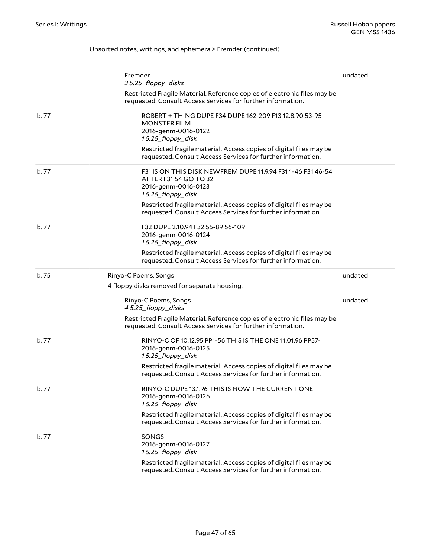#### Unsorted notes, writings, and ephemera > Fremder (continued)

|       | Fremder<br>35.25_floppy_disks                                                                                                           | undated |
|-------|-----------------------------------------------------------------------------------------------------------------------------------------|---------|
|       | Restricted Fragile Material. Reference copies of electronic files may be<br>requested. Consult Access Services for further information. |         |
| b.77  | ROBERT + THING DUPE F34 DUPE 162-209 F13 12.8.90 53-95<br><b>MONSTER FILM</b><br>2016-genm-0016-0122<br>15.25_floppy_disk               |         |
|       | Restricted fragile material. Access copies of digital files may be<br>requested. Consult Access Services for further information.       |         |
| b.77  | F31 IS ON THIS DISK NEWFREM DUPE 11.9.94 F31 1-46 F31 46-54<br>AFTER F31 54 GO TO 32<br>2016-genm-0016-0123<br>15.25_floppy_disk        |         |
|       | Restricted fragile material. Access copies of digital files may be<br>requested. Consult Access Services for further information.       |         |
| b.77  | F32 DUPE 2.10.94 F32 55-89 56-109<br>2016-genm-0016-0124<br>15.25_floppy_disk                                                           |         |
|       | Restricted fragile material. Access copies of digital files may be<br>requested. Consult Access Services for further information.       |         |
| b. 75 | Rinyo-C Poems, Songs                                                                                                                    | undated |
|       | 4 floppy disks removed for separate housing.                                                                                            |         |
|       | Rinyo-C Poems, Songs<br>45.25_floppy_disks                                                                                              | undated |
|       | Restricted Fragile Material. Reference copies of electronic files may be<br>requested. Consult Access Services for further information. |         |
| b. 77 | RINYO-C OF 10.12.95 PP1-56 THIS IS THE ONE 11.01.96 PP57-<br>2016-genm-0016-0125<br>15.25_floppy_disk                                   |         |
|       | Restricted fragile material. Access copies of digital files may be<br>requested. Consult Access Services for further information.       |         |
| b. 77 | RINYO-C DUPE 13.1.96 THIS IS NOW THE CURRENT ONE<br>2016-genm-0016-0126<br>15.25_floppy_disk                                            |         |
|       | Restricted fragile material. Access copies of digital files may be<br>requested. Consult Access Services for further information.       |         |
| b. 77 | SONGS<br>2016-genm-0016-0127<br>15.25_floppy_disk                                                                                       |         |
|       | Restricted fragile material. Access copies of digital files may be<br>requested. Consult Access Services for further information.       |         |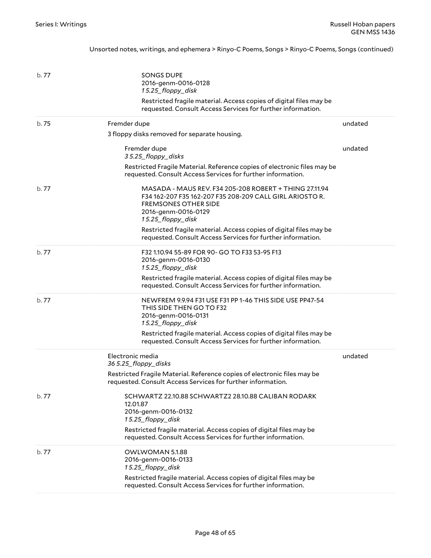Unsorted notes, writings, and ephemera > Rinyo-C Poems, Songs > Rinyo-C Poems, Songs (continued)

| b.77  | <b>SONGS DUPE</b><br>2016-genm-0016-0128<br>15.25_floppy_disk<br>Restricted fragile material. Access copies of digital files may be<br>requested. Consult Access Services for further information. |         |
|-------|----------------------------------------------------------------------------------------------------------------------------------------------------------------------------------------------------|---------|
| b. 75 | Fremder dupe                                                                                                                                                                                       | undated |
|       | 3 floppy disks removed for separate housing.                                                                                                                                                       |         |
|       | Fremder dupe<br>35.25_floppy_disks                                                                                                                                                                 | undated |
|       | Restricted Fragile Material. Reference copies of electronic files may be<br>requested. Consult Access Services for further information.                                                            |         |
| b. 77 | MASADA - MAUS REV. F34 205-208 ROBERT + THING 27.11.94<br>F34 162-207 F35 162-207 F35 208-209 CALL GIRL ARIOSTO R.<br><b>FREMSONES OTHER SIDE</b><br>2016-genm-0016-0129<br>15.25_floppy_disk      |         |
|       | Restricted fragile material. Access copies of digital files may be<br>requested. Consult Access Services for further information.                                                                  |         |
| b.77  | F32 1.10.94 55-89 FOR 90- GO TO F33 53-95 F13<br>2016-genm-0016-0130<br>15.25_floppy_disk                                                                                                          |         |
|       | Restricted fragile material. Access copies of digital files may be<br>requested. Consult Access Services for further information.                                                                  |         |
| b.77  | NEWFREM 9.9.94 F31 USE F31 PP 1-46 THIS SIDE USE PP47-54<br>THIS SIDE THEN GO TO F32<br>2016-genm-0016-0131<br>15.25_floppy_disk                                                                   |         |
|       | Restricted fragile material. Access copies of digital files may be<br>requested. Consult Access Services for further information.                                                                  |         |
|       | Electronic media<br>36 5.25_floppy_disks                                                                                                                                                           | undated |
|       | Restricted Fragile Material. Reference copies of electronic files may be<br>requested. Consult Access Services for further information.                                                            |         |
| b. 77 | SCHWARTZ 22.10.88 SCHWARTZ2 28.10.88 CALIBAN RODARK<br>12.01.87<br>2016-genm-0016-0132<br>15.25_floppy_disk                                                                                        |         |
|       | Restricted fragile material. Access copies of digital files may be<br>requested. Consult Access Services for further information.                                                                  |         |
| b. 77 | OWLWOMAN 5.1.88<br>2016-genm-0016-0133<br>15.25_floppy_disk                                                                                                                                        |         |
|       | Restricted fragile material. Access copies of digital files may be<br>requested. Consult Access Services for further information.                                                                  |         |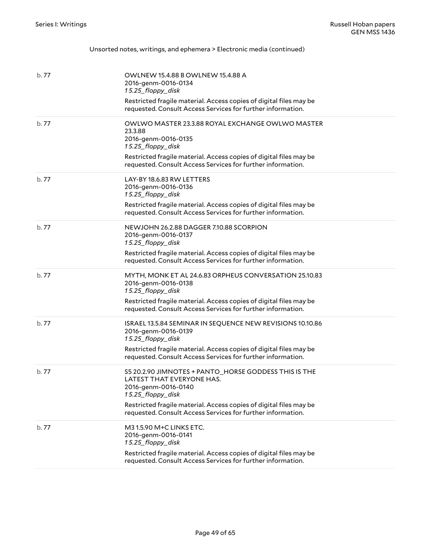| b. 77 | OWLNEW 15.4.88 B OWLNEW 15.4.88 A<br>2016-genm-0016-0134<br>15.25_floppy_disk<br>Restricted fragile material. Access copies of digital files may be<br>requested. Consult Access Services for further information.                                                  |
|-------|---------------------------------------------------------------------------------------------------------------------------------------------------------------------------------------------------------------------------------------------------------------------|
| b.77  | OWLWO MASTER 23.3.88 ROYAL EXCHANGE OWLWO MASTER<br>23.3.88<br>2016-genm-0016-0135<br>15.25_floppy_disk<br>Restricted fragile material. Access copies of digital files may be<br>requested. Consult Access Services for further information.                        |
| b.77  | LAY-BY 18.6.83 RW LETTERS<br>2016-genm-0016-0136<br>15.25_floppy_disk<br>Restricted fragile material. Access copies of digital files may be<br>requested. Consult Access Services for further information.                                                          |
| b.77  | NEWJOHN 26.2.88 DAGGER 7.10.88 SCORPION<br>2016-genm-0016-0137<br>15.25_floppy_disk<br>Restricted fragile material. Access copies of digital files may be<br>requested. Consult Access Services for further information.                                            |
| b.77  | MYTH, MONK ET AL 24.6.83 ORPHEUS CONVERSATION 25.10.83<br>2016-genm-0016-0138<br>15.25_floppy_disk<br>Restricted fragile material. Access copies of digital files may be<br>requested. Consult Access Services for further information.                             |
| b.77  | ISRAEL 13.5.84 SEMINAR IN SEQUENCE NEW REVISIONS 10.10.86<br>2016-genm-0016-0139<br>15.25_floppy_disk<br>Restricted fragile material. Access copies of digital files may be<br>requested. Consult Access Services for further information.                          |
| b. 77 | S5 20.2.90 JIMNOTES + PANTO_HORSE GODDESS THIS IS THE<br>LATEST THAT EVERYONE HAS.<br>2016-genm-0016-0140<br>15.25_floppy_disk<br>Restricted fragile material. Access copies of digital files may be<br>requested. Consult Access Services for further information. |
| b.77  | M31.5.90 M+C LINKS ETC.<br>2016-genm-0016-0141<br>15.25_floppy_disk<br>Restricted fragile material. Access copies of digital files may be<br>requested. Consult Access Services for further information.                                                            |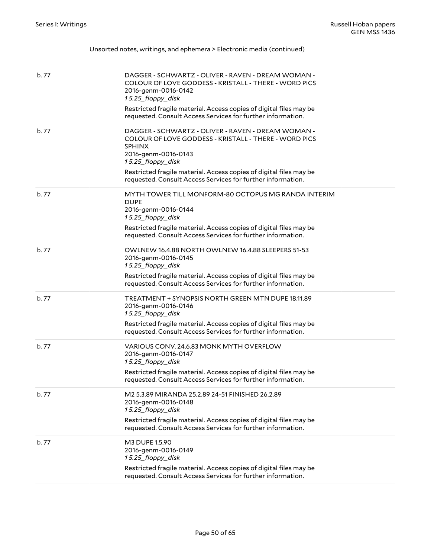| Unsorted notes, writings, and ephemera > Electronic media (continued) |  |
|-----------------------------------------------------------------------|--|
|-----------------------------------------------------------------------|--|

| b.77  | DAGGER - SCHWARTZ - OLIVER - RAVEN - DREAM WOMAN -<br>COLOUR OF LOVE GODDESS - KRISTALL - THERE - WORD PICS<br>2016-genm-0016-0142<br>15.25_floppy_disk<br>Restricted fragile material. Access copies of digital files may be<br>requested. Consult Access Services for further information.                  |
|-------|---------------------------------------------------------------------------------------------------------------------------------------------------------------------------------------------------------------------------------------------------------------------------------------------------------------|
| b.77  | DAGGER - SCHWARTZ - OLIVER - RAVEN - DREAM WOMAN -<br>COLOUR OF LOVE GODDESS - KRISTALL - THERE - WORD PICS<br><b>SPHINX</b><br>2016-genm-0016-0143<br>15.25_floppy_disk<br>Restricted fragile material. Access copies of digital files may be<br>requested. Consult Access Services for further information. |
| b.77  | MYTH TOWER TILL MONFORM-80 OCTOPUS MG RANDA INTERIM<br><b>DUPE</b><br>2016-genm-0016-0144<br>15.25_floppy_disk<br>Restricted fragile material. Access copies of digital files may be<br>requested. Consult Access Services for further information.                                                           |
| b.77  | OWLNEW 16.4.88 NORTH OWLNEW 16.4.88 SLEEPERS 51-53<br>2016-genm-0016-0145<br>15.25_floppy_disk<br>Restricted fragile material. Access copies of digital files may be<br>requested. Consult Access Services for further information.                                                                           |
| b.77  | TREATMENT + SYNOPSIS NORTH GREEN MTN DUPE 18.11.89<br>2016-genm-0016-0146<br>15.25_floppy_disk<br>Restricted fragile material. Access copies of digital files may be<br>requested. Consult Access Services for further information.                                                                           |
| b. 77 | VARIOUS CONV. 24.6.83 MONK MYTH OVERFLOW<br>2016-genm-0016-0147<br>15.25_floppy_disk<br>Restricted fragile material. Access copies of digital files may be<br>requested. Consult Access Services for further information.                                                                                     |
| b.77  | M <sub>2</sub> 5.3.89 MIRANDA 25.2.89 24-51 FINISHED 26.2.89<br>2016-genm-0016-0148<br>15.25_floppy_disk<br>Restricted fragile material. Access copies of digital files may be<br>requested. Consult Access Services for further information.                                                                 |
| b. 77 | M3 DUPE 1.5.90<br>2016-genm-0016-0149<br>15.25_floppy_disk<br>Restricted fragile material. Access copies of digital files may be<br>requested. Consult Access Services for further information.                                                                                                               |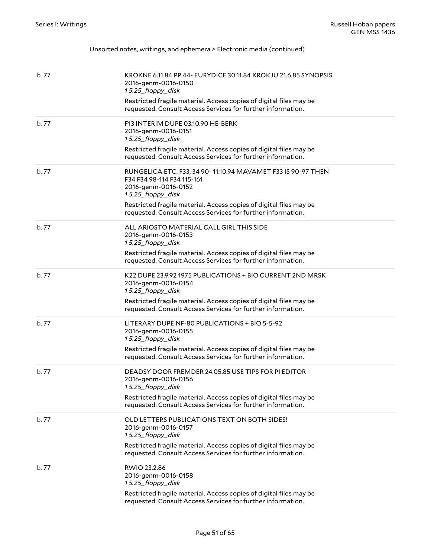| Unsorted notes, writings, and ephemera > Electronic media (continued) |  |  |  |
|-----------------------------------------------------------------------|--|--|--|
|                                                                       |  |  |  |

| b.77  | KROKNE 6.11.84 PP 44- EURYDICE 30.11.84 KROKJU 21.6.85 SYNOPSIS<br>2016-genm-0016-0150<br>15.25_floppy_disk<br>Restricted fragile material. Access copies of digital files may be<br>requested. Consult Access Services for further information.                            |
|-------|-----------------------------------------------------------------------------------------------------------------------------------------------------------------------------------------------------------------------------------------------------------------------------|
| b.77  | F13 INTERIM DUPE 03.10.90 HE-BERK<br>2016-genm-0016-0151<br>15.25_floppy_disk<br>Restricted fragile material. Access copies of digital files may be<br>requested. Consult Access Services for further information.                                                          |
| b.77  | RUNGELICA ETC. F33, 34 90-11.10.94 MAVAMET F33 IS 90-97 THEN<br>F34 F34 98-114 F34 115-161<br>2016-genm-0016-0152<br>15.25_floppy_disk<br>Restricted fragile material. Access copies of digital files may be<br>requested. Consult Access Services for further information. |
| b.77  | ALL ARIOSTO MATERIAL CALL GIRL THIS SIDE<br>2016-genm-0016-0153<br>15.25_floppy_disk<br>Restricted fragile material. Access copies of digital files may be<br>requested. Consult Access Services for further information.                                                   |
| b.77  | K22 DUPE 23.9.92 1975 PUBLICATIONS + BIO CURRENT 2ND MRSK<br>2016-genm-0016-0154<br>15.25_floppy_disk<br>Restricted fragile material. Access copies of digital files may be<br>requested. Consult Access Services for further information.                                  |
| b.77  | LITERARY DUPE NF-80 PUBLICATIONS + BIO 5-5-92<br>2016-genm-0016-0155<br>15.25_floppy_disk<br>Restricted fragile material. Access copies of digital files may be<br>requested. Consult Access Services for further information.                                              |
| b. 77 | DEADSY DOOR FREMDER 24.05.85 USE TIPS FOR PI EDITOR<br>2016-genm-0016-0156<br>15.25_floppy_disk<br>Restricted fragile material. Access copies of digital files may be<br>requested. Consult Access Services for further information.                                        |
| b.77  | OLD LETTERS PUBLICATIONS TEXT ON BOTH SIDES!<br>2016-genm-0016-0157<br>15.25_floppy_disk<br>Restricted fragile material. Access copies of digital files may be<br>requested. Consult Access Services for further information.                                               |
| b. 77 | RWIO 23.2.86<br>2016-genm-0016-0158<br>15.25_floppy_disk<br>Restricted fragile material. Access copies of digital files may be<br>requested. Consult Access Services for further information.                                                                               |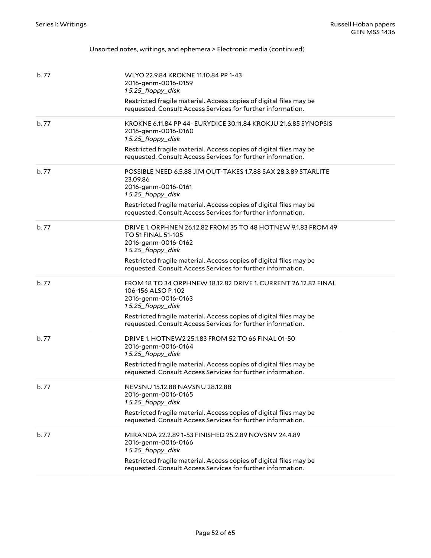| b.77  | WLYO 22.9.84 KROKNE 11.10.84 PP 1-43<br>2016-genm-0016-0159<br>15.25_floppy_disk<br>Restricted fragile material. Access copies of digital files may be<br>requested. Consult Access Services for further information.                                                       |
|-------|-----------------------------------------------------------------------------------------------------------------------------------------------------------------------------------------------------------------------------------------------------------------------------|
| b.77  | KROKNE 6.11.84 PP 44- EURYDICE 30.11.84 KROKJU 21.6.85 SYNOPSIS<br>2016-genm-0016-0160<br>15.25_floppy_disk<br>Restricted fragile material. Access copies of digital files may be<br>requested. Consult Access Services for further information.                            |
| b.77  | POSSIBLE NEED 6.5.88 JIM OUT-TAKES 1.7.88 SAX 28.3.89 STARLITE<br>23.09.86<br>2016-genm-0016-0161<br>15.25_floppy_disk<br>Restricted fragile material. Access copies of digital files may be<br>requested. Consult Access Services for further information.                 |
| b.77  | DRIVE 1. ORPHNEN 26.12.82 FROM 35 TO 48 HOTNEW 9.1.83 FROM 49<br><b>TO 51 FINAL 51-105</b><br>2016-genm-0016-0162<br>15.25_floppy_disk<br>Restricted fragile material. Access copies of digital files may be<br>requested. Consult Access Services for further information. |
| b.77  | FROM 18 TO 34 ORPHNEW 18.12.82 DRIVE 1. CURRENT 26.12.82 FINAL<br>106-156 ALSO P.102<br>2016-genm-0016-0163<br>15.25_floppy_disk<br>Restricted fragile material. Access copies of digital files may be<br>requested. Consult Access Services for further information.       |
| b.77  | DRIVE 1. HOTNEW2 25.1.83 FROM 52 TO 66 FINAL 01-50<br>2016-genm-0016-0164<br>15.25_floppy_disk<br>Restricted fragile material. Access copies of digital files may be<br>requested. Consult Access Services for further information.                                         |
| b. 77 | NEVSNU 15.12.88 NAVSNU 28.12.88<br>2016-genm-0016-0165<br>15.25 floppy disk<br>Restricted fragile material. Access copies of digital files may be<br>requested. Consult Access Services for further information.                                                            |
| b. 77 | MIRANDA 22.2.89 1-53 FINISHED 25.2.89 NOVSNV 24.4.89<br>2016-genm-0016-0166<br>15.25_floppy_disk<br>Restricted fragile material. Access copies of digital files may be<br>requested. Consult Access Services for further information.                                       |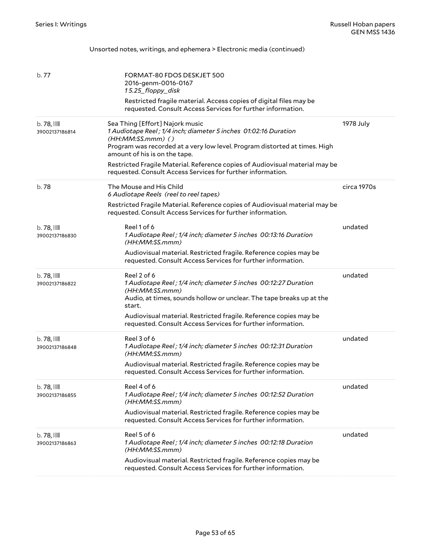|                                  | Unsorted notes, writings, and ephemera > Electronic media (continued)                                                                                                                                                                                                                                                                                                                   |             |
|----------------------------------|-----------------------------------------------------------------------------------------------------------------------------------------------------------------------------------------------------------------------------------------------------------------------------------------------------------------------------------------------------------------------------------------|-------------|
| b. 77                            | FORMAT-80 FDOS DESKJET 500<br>2016-genm-0016-0167<br>15.25_floppy_disk<br>Restricted fragile material. Access copies of digital files may be<br>requested. Consult Access Services for further information.                                                                                                                                                                             |             |
| $b.78$ , $III$<br>39002137186814 | Sea Thing [Effort] Najork music<br>1 Audiotape Reel; 1/4 inch; diameter 5 inches 01:02:16 Duration<br>$(HH:MM:SS.mmm)$ ()<br>Program was recorded at a very low level. Program distorted at times. High<br>amount of his is on the tape.<br>Restricted Fragile Material. Reference copies of Audiovisual material may be<br>requested. Consult Access Services for further information. | 1978 July   |
| b. 78                            | The Mouse and His Child<br>6 Audiotape Reels (reel to reel tapes)<br>Restricted Fragile Material. Reference copies of Audiovisual material may be<br>requested. Consult Access Services for further information.                                                                                                                                                                        | circa 1970s |
| $b.78$ , $III$<br>39002137186830 | Reel 1 of 6<br>1 Audiotape Reel; 1/4 inch; diameter 5 inches 00:13:16 Duration<br>(HH:MM:SS.mmm)<br>Audiovisual material. Restricted fragile. Reference copies may be<br>requested. Consult Access Services for further information.                                                                                                                                                    | undated     |
| $b.78$ , $III$<br>39002137186822 | Reel 2 of 6<br>1 Audiotape Reel; 1/4 inch; diameter 5 inches 00:12:27 Duration<br>(HH:MM:SS.mmm)<br>Audio, at times, sounds hollow or unclear. The tape breaks up at the<br>start.<br>Audiovisual material. Restricted fragile. Reference copies may be<br>requested. Consult Access Services for further information.                                                                  | undated     |
| $b.78$ , $III$<br>39002137186848 | Reel 3 of 6<br>1 Audiotape Reel; 1/4 inch; diameter 5 inches 00:12:31 Duration<br>(HH:MM:SS.mmm)<br>Audiovisual material. Restricted fragile. Reference copies may be<br>requested. Consult Access Services for further information.                                                                                                                                                    | undated     |
| $b.78$ , $III$<br>39002137186855 | Reel 4 of 6<br>1 Audiotape Reel; 1/4 inch; diameter 5 inches 00:12:52 Duration<br>(HH:MM:SS.mmm)<br>Audiovisual material. Restricted fragile. Reference copies may be<br>requested. Consult Access Services for further information.                                                                                                                                                    | undated     |
| $b.78$ , $III$<br>39002137186863 | Reel 5 of 6<br>1 Audiotape Reel; 1/4 inch; diameter 5 inches 00:12:18 Duration<br>(HH:MM:SS.mmm)<br>Audiovisual material. Restricted fragile. Reference copies may be<br>requested. Consult Access Services for further information.                                                                                                                                                    | undated     |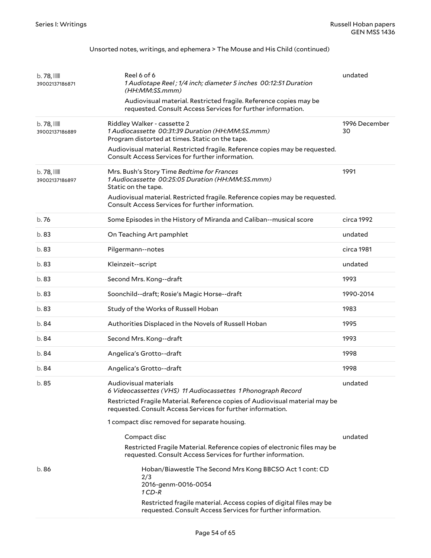#### Unsorted notes, writings, and ephemera > The Mouse and His Child (continued)

| $b.78$ , $III$<br>39002137186871 | Reel 6 of 6<br>1 Audiotape Reel; 1/4 inch; diameter 5 inches 00:12:51 Duration<br>(HH:MM:SS.mmm)<br>Audiovisual material. Restricted fragile. Reference copies may be<br>requested. Consult Access Services for further information.                                                 | undated             |
|----------------------------------|--------------------------------------------------------------------------------------------------------------------------------------------------------------------------------------------------------------------------------------------------------------------------------------|---------------------|
| $b.78$ , $III$<br>39002137186889 | Riddley Walker - cassette 2<br>1 Audiocassette 00:31:39 Duration (HH:MM:SS.mmm)<br>Program distorted at times. Static on the tape.<br>Audiovisual material. Restricted fragile. Reference copies may be requested.<br>Consult Access Services for further information.               | 1996 December<br>30 |
| $b.78$ , $111$<br>39002137186897 | Mrs. Bush's Story Time Bedtime for Frances<br>1 Audiocassette 00:25:05 Duration (HH:MM:SS.mmm)<br>Static on the tape.<br>Audiovisual material. Restricted fragile. Reference copies may be requested.<br>Consult Access Services for further information.                            | 1991                |
| b. 76                            | Some Episodes in the History of Miranda and Caliban--musical score                                                                                                                                                                                                                   | circa 1992          |
| b.83                             | On Teaching Art pamphlet                                                                                                                                                                                                                                                             | undated             |
| b.83                             | Pilgermann--notes                                                                                                                                                                                                                                                                    | circa 1981          |
| b.83                             | Kleinzeit--script                                                                                                                                                                                                                                                                    | undated             |
| b.83                             | Second Mrs. Kong--draft                                                                                                                                                                                                                                                              | 1993                |
| b.83                             | Soonchild--draft; Rosie's Magic Horse--draft                                                                                                                                                                                                                                         | 1990-2014           |
| b.83                             | Study of the Works of Russell Hoban                                                                                                                                                                                                                                                  | 1983                |
| b.84                             | Authorities Displaced in the Novels of Russell Hoban                                                                                                                                                                                                                                 | 1995                |
| b.84                             | Second Mrs. Kong--draft                                                                                                                                                                                                                                                              | 1993                |
| b.84                             | Angelica's Grotto--draft                                                                                                                                                                                                                                                             | 1998                |
| b. 84                            | Angelica's Grotto--draft                                                                                                                                                                                                                                                             | 1998                |
| b. 85                            | Audiovisual materials<br>6 Videocassettes (VHS) 11 Audiocassettes 1 Phonograph Record<br>Restricted Fragile Material. Reference copies of Audiovisual material may be<br>requested. Consult Access Services for further information.<br>1 compact disc removed for separate housing. | undated             |
|                                  | Compact disc<br>Restricted Fragile Material. Reference copies of electronic files may be<br>requested. Consult Access Services for further information.                                                                                                                              | undated             |
| b.86                             | Hoban/Biawestle The Second Mrs Kong BBCSO Act 1 cont: CD<br>2/3<br>2016-genm-0016-0054<br>$1CD-R$<br>Restricted fragile material. Access copies of digital files may be<br>requested. Consult Access Services for further information.                                               |                     |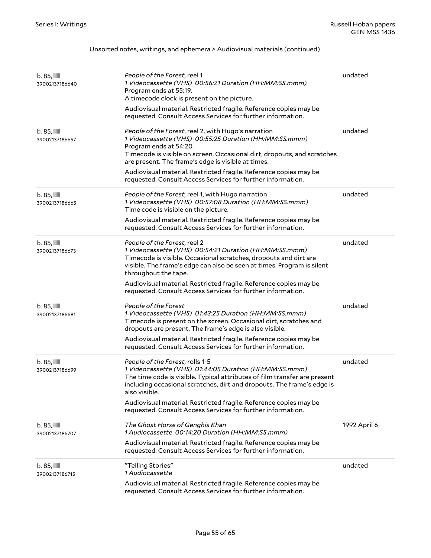#### Unsorted notes, writings, and ephemera > Audiovisual materials (continued)

| $b.85$ , $III$<br>39002137186640 | People of the Forest, reel 1<br>1 Videocassette (VHS) 00:56:21 Duration (HH:MM:SS.mmm)<br>Program ends at 55:19.<br>A timecode clock is present on the picture.<br>Audiovisual material. Restricted fragile. Reference copies may be<br>requested. Consult Access Services for further information.                                                                                                          | undated      |
|----------------------------------|--------------------------------------------------------------------------------------------------------------------------------------------------------------------------------------------------------------------------------------------------------------------------------------------------------------------------------------------------------------------------------------------------------------|--------------|
| $b.85$ , $III$<br>39002137186657 | People of the Forest, reel 2, with Hugo's narration<br>1 Videocassette (VHS) 00:55:25 Duration (HH:MM:SS.mmm)<br>Program ends at 54:20.<br>Timecode is visible on screen. Occasional dirt, dropouts, and scratches<br>are present. The frame's edge is visible at times.<br>Audiovisual material. Restricted fragile. Reference copies may be<br>requested. Consult Access Services for further information. | undated      |
| $b.85$ , $III$<br>39002137186665 | People of the Forest, reel 1, with Hugo narration<br>1 Videocassette (VHS) 00:57:08 Duration (HH:MM:SS.mmm)<br>Time code is visible on the picture.<br>Audiovisual material. Restricted fragile. Reference copies may be<br>requested. Consult Access Services for further information.                                                                                                                      | undated      |
| $b.85$ , $III$<br>39002137186673 | People of the Forest, reel 2<br>1 Videocassette (VHS) 00:54:21 Duration (HH:MM:SS.mmm)<br>Timecode is visible. Occasional scratches, dropouts and dirt are<br>visible. The frame's edge can also be seen at times. Program is silent<br>throughout the tape.<br>Audiovisual material. Restricted fragile. Reference copies may be<br>requested. Consult Access Services for further information.             | undated      |
| $b.85$ , $III$<br>39002137186681 | People of the Forest<br>1 Videocassette (VHS) 01:43:25 Duration (HH:MM:SS.mmm)<br>Timecode is present on the screen. Occasional dirt, scratches and<br>dropouts are present. The frame's edge is also visible.<br>Audiovisual material. Restricted fragile. Reference copies may be<br>requested. Consult Access Services for further information.                                                           | undated      |
| $b.85$ , $III$<br>39002137186699 | People of the Forest, rolls 1-5<br>1 Videocassette (VHS) 01:44:05 Duration (HH:MM:SS.mmm)<br>The time code is visible. Typical attributes of film transfer are present<br>including occasional scratches, dirt and dropouts. The frame's edge is<br>also visible.<br>Audiovisual material. Restricted fragile. Reference copies may be<br>requested. Consult Access Services for further information.        | undated      |
| $b.85$ , $III$<br>39002137186707 | The Ghost Horse of Genghis Khan<br>1 Audiocassette 00:14:20 Duration (HH:MM:SS.mmm)<br>Audiovisual material. Restricted fragile. Reference copies may be<br>requested. Consult Access Services for further information.                                                                                                                                                                                      | 1992 April 6 |
| $b.85$ , $III$<br>39002137186715 | "Telling Stories"<br>1 Audiocassette<br>Audiovisual material. Restricted fragile. Reference copies may be<br>requested. Consult Access Services for further information.                                                                                                                                                                                                                                     | undated      |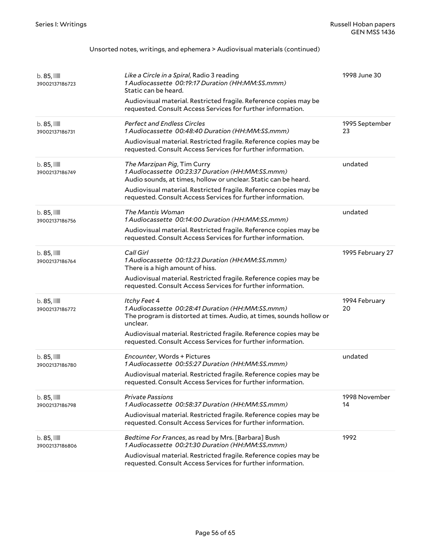#### Unsorted notes, writings, and ephemera > Audiovisual materials (continued)

| $b.85$ , $III$<br>39002137186723 | Like a Circle in a Spiral, Radio 3 reading<br>1 Audiocassette 00:19:17 Duration (HH:MM:SS.mmm)<br>Static can be heard.<br>Audiovisual material. Restricted fragile. Reference copies may be<br>requested. Consult Access Services for further information.                               | 1998 June 30         |
|----------------------------------|------------------------------------------------------------------------------------------------------------------------------------------------------------------------------------------------------------------------------------------------------------------------------------------|----------------------|
| $b.85$ , $III$<br>39002137186731 | <b>Perfect and Endless Circles</b><br>1 Audiocassette 00:48:40 Duration (HH:MM:SS.mmm)<br>Audiovisual material. Restricted fragile. Reference copies may be<br>requested. Consult Access Services for further information.                                                               | 1995 September<br>23 |
| $b.85$ , $III$<br>39002137186749 | The Marzipan Pig, Tim Curry<br>1 Audiocassette 00:23:37 Duration (HH:MM:SS.mmm)<br>Audio sounds, at times, hollow or unclear. Static can be heard.<br>Audiovisual material. Restricted fragile. Reference copies may be<br>requested. Consult Access Services for further information.   | undated              |
| $b.85$ , $III$<br>39002137186756 | The Mantis Woman<br>1 Audiocassette 00:14:00 Duration (HH:MM:SS.mmm)<br>Audiovisual material. Restricted fragile. Reference copies may be<br>requested. Consult Access Services for further information.                                                                                 | undated              |
| $b.85$ , $III$<br>39002137186764 | Call Girl<br>1 Audiocassette 00:13:23 Duration (HH:MM:SS.mmm)<br>There is a high amount of hiss.<br>Audiovisual material. Restricted fragile. Reference copies may be<br>requested. Consult Access Services for further information.                                                     | 1995 February 27     |
| $b.85$ , $III$<br>39002137186772 | Itchy Feet 4<br>1 Audiocassette 00:28:41 Duration (HH:MM:SS.mmm)<br>The program is distorted at times. Audio, at times, sounds hollow or<br>unclear.<br>Audiovisual material. Restricted fragile. Reference copies may be<br>requested. Consult Access Services for further information. | 1994 February<br>20  |
| $b.85$ , $III$<br>39002137186780 | Encounter, Words + Pictures<br>1 Audiocassette 00:55:27 Duration (HH:MM:SS.mmm)<br>Audiovisual material. Restricted fragile. Reference copies may be<br>requested. Consult Access Services for further information.                                                                      | undated              |
| $b.85$ , $III$<br>39002137186798 | <b>Private Passions</b><br>1 Audiocassette 00:58:37 Duration (HH:MM:SS.mmm)<br>Audiovisual material. Restricted fragile. Reference copies may be<br>requested. Consult Access Services for further information.                                                                          | 1998 November<br>14  |
| $b.85$ , $III$<br>39002137186806 | Bedtime For Frances, as read by Mrs. [Barbara] Bush<br>1 Audiocassette 00:21:30 Duration (HH:MM:SS.mmm)<br>Audiovisual material. Restricted fragile. Reference copies may be<br>requested. Consult Access Services for further information.                                              | 1992                 |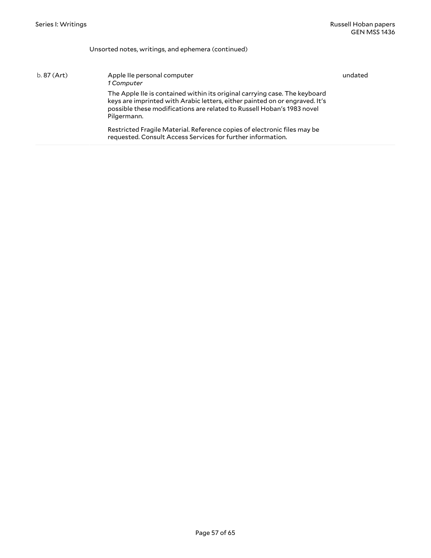#### Unsorted notes, writings, and ephemera (continued)

| $b.87$ (Art) | Apple IIe personal computer<br>1 Computer                                                                                                                                                                                                          | undated |
|--------------|----------------------------------------------------------------------------------------------------------------------------------------------------------------------------------------------------------------------------------------------------|---------|
|              | The Apple IIe is contained within its original carrying case. The keyboard<br>keys are imprinted with Arabic letters, either painted on or engraved. It's<br>possible these modifications are related to Russell Hoban's 1983 novel<br>Pilgermann. |         |
|              | Restricted Fragile Material. Reference copies of electronic files may be<br>requested. Consult Access Services for further information.                                                                                                            |         |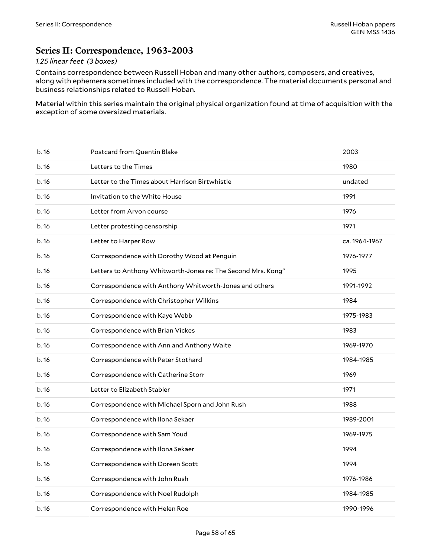## <span id="page-57-0"></span>**Series II: Correspondence, 1963-2003**

#### *1.25 linear feet (3 boxes)*

Contains correspondence between Russell Hoban and many other authors, composers, and creatives, along with ephemera sometimes included with the correspondence. The material documents personal and business relationships related to Russell Hoban.

Material within this series maintain the original physical organization found at time of acquisition with the exception of some oversized materials.

| b.16  | Postcard from Quentin Blake                                  | 2003          |
|-------|--------------------------------------------------------------|---------------|
| b.16  | Letters to the Times                                         | 1980          |
| b.16  | Letter to the Times about Harrison Birtwhistle               | undated       |
| b.16  | Invitation to the White House                                | 1991          |
| b.16  | Letter from Arvon course                                     | 1976          |
| b.16  | Letter protesting censorship                                 | 1971          |
| b.16  | Letter to Harper Row                                         | ca. 1964-1967 |
| b.16  | Correspondence with Dorothy Wood at Penguin                  | 1976-1977     |
| b.16  | Letters to Anthony Whitworth-Jones re: The Second Mrs. Kong" | 1995          |
| b.16  | Correspondence with Anthony Whitworth-Jones and others       | 1991-1992     |
| b.16  | Correspondence with Christopher Wilkins                      | 1984          |
| b.16  | Correspondence with Kaye Webb                                | 1975-1983     |
| b.16  | Correspondence with Brian Vickes                             | 1983          |
| b.16  | Correspondence with Ann and Anthony Waite                    | 1969-1970     |
| b. 16 | Correspondence with Peter Stothard                           | 1984-1985     |
| b.16  | Correspondence with Catherine Storr                          | 1969          |
| b.16  | Letter to Elizabeth Stabler                                  | 1971          |
| b.16  | Correspondence with Michael Sporn and John Rush              | 1988          |
| b.16  | Correspondence with Ilona Sekaer                             | 1989-2001     |
| b.16  | Correspondence with Sam Youd                                 | 1969-1975     |
| b. 16 | Correspondence with Ilona Sekaer                             | 1994          |
| b. 16 | Correspondence with Doreen Scott                             | 1994          |
| b.16  | Correspondence with John Rush                                | 1976-1986     |
| b.16  | Correspondence with Noel Rudolph                             | 1984-1985     |
| b.16  | Correspondence with Helen Roe                                | 1990-1996     |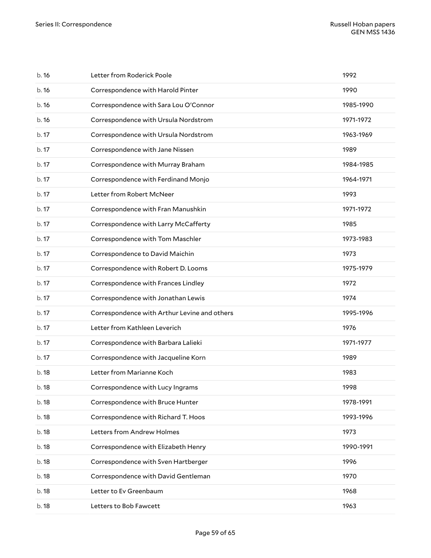| b.16  | Letter from Roderick Poole                   | 1992      |
|-------|----------------------------------------------|-----------|
| b.16  | Correspondence with Harold Pinter            | 1990      |
| b.16  | Correspondence with Sara Lou O'Connor        | 1985-1990 |
| b.16  | Correspondence with Ursula Nordstrom         | 1971-1972 |
| b. 17 | Correspondence with Ursula Nordstrom         | 1963-1969 |
| b.17  | Correspondence with Jane Nissen              | 1989      |
| b. 17 | Correspondence with Murray Braham            | 1984-1985 |
| b. 17 | Correspondence with Ferdinand Monjo          | 1964-1971 |
| b. 17 | Letter from Robert McNeer                    | 1993      |
| b. 17 | Correspondence with Fran Manushkin           | 1971-1972 |
| b. 17 | Correspondence with Larry McCafferty         | 1985      |
| b. 17 | Correspondence with Tom Maschler             | 1973-1983 |
| b.17  | Correspondence to David Maichin              | 1973      |
| b. 17 | Correspondence with Robert D. Looms          | 1975-1979 |
| b. 17 | Correspondence with Frances Lindley          | 1972      |
| b. 17 | Correspondence with Jonathan Lewis           | 1974      |
| b.17  | Correspondence with Arthur Levine and others | 1995-1996 |
| b. 17 | Letter from Kathleen Leverich                | 1976      |
| b. 17 | Correspondence with Barbara Lalieki          | 1971-1977 |
| b. 17 | Correspondence with Jacqueline Korn          | 1989      |
| b. 18 | Letter from Marianne Koch                    | 1983      |
| b. 18 | Correspondence with Lucy Ingrams             | 1998      |
| b. 18 | Correspondence with Bruce Hunter             | 1978-1991 |
| b. 18 | Correspondence with Richard T. Hoos          | 1993-1996 |
| b. 18 | Letters from Andrew Holmes                   | 1973      |
| b. 18 | Correspondence with Elizabeth Henry          | 1990-1991 |
| b. 18 | Correspondence with Sven Hartberger          | 1996      |
| b. 18 | Correspondence with David Gentleman          | 1970      |
| b. 18 | Letter to Ev Greenbaum                       | 1968      |
| b. 18 | Letters to Bob Fawcett                       | 1963      |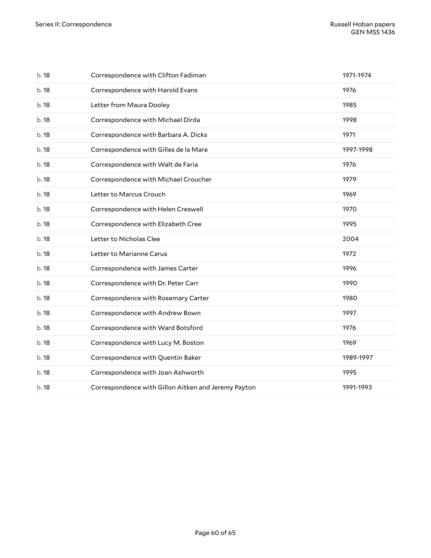| b.18  | Correspondence with Clifton Fadiman                 | 1971-1974 |
|-------|-----------------------------------------------------|-----------|
| b.18  | Correspondence with Harold Evans                    | 1976      |
| b.18  | Letter from Maura Dooley                            | 1985      |
| b.18  | Correspondence with Michael Dirda                   | 1998      |
| b.18  | Correspondence with Barbara A. Dicks                | 1971      |
| b.18  | Correspondence with Gilles de la Mare               | 1997-1998 |
| b.18  | Correspondence with Walt de Faria                   | 1976      |
| b.18  | Correspondence with Michael Croucher                | 1979      |
| b.18  | Letter to Marcus Crouch                             | 1969      |
| b.18  | Correspondence with Helen Creswell                  | 1970      |
| b.18  | Correspondence with Elizabeth Cree                  | 1995      |
| b.18  | Letter to Nicholas Clee                             | 2004      |
| b.18  | Letter to Marianne Carus                            | 1972      |
| b.18  | Correspondence with James Carter                    | 1996      |
| b. 18 | Correspondence with Dr. Peter Carr                  | 1990      |
| b.18  | Correspondence with Rosemary Carter                 | 1980      |
| b.18  | Correspondence with Andrew Bown                     | 1997      |
| b.18  | Correspondence with Ward Botsford                   | 1976      |
| b.18  | Correspondence with Lucy M. Boston                  | 1969      |
| b.18  | Correspondence with Quentin Baker                   | 1989-1997 |
| b.18  | Correspondence with Joan Ashworth                   | 1995      |
| b.18  | Correspondence with Gillon Aitken and Jeremy Payton | 1991-1993 |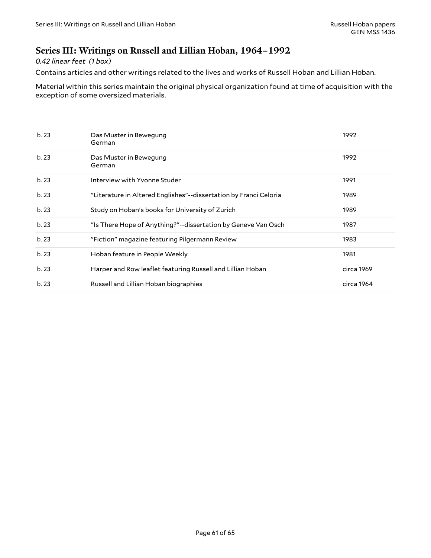## <span id="page-60-0"></span>**Series III: Writings on Russell and Lillian Hoban, 1964–1992**

*0.42 linear feet (1 box)*

Contains articles and other writings related to the lives and works of Russell Hoban and Lillian Hoban.

Material within this series maintain the original physical organization found at time of acquisition with the exception of some oversized materials.

| b.23 | Das Muster in Bewegung<br>German                                  | 1992       |
|------|-------------------------------------------------------------------|------------|
| b.23 | Das Muster in Bewegung<br>German                                  | 1992       |
| b.23 | Interview with Yvonne Studer                                      | 1991       |
| b.23 | "Literature in Altered Englishes"--dissertation by Franci Celoria | 1989       |
| b.23 | Study on Hoban's books for University of Zurich                   | 1989       |
| b.23 | "Is There Hope of Anything?"--dissertation by Geneve Van Osch     | 1987       |
| b.23 | "Fiction" magazine featuring Pilgermann Review                    | 1983       |
| b.23 | Hoban feature in People Weekly                                    | 1981       |
| b.23 | Harper and Row leaflet featuring Russell and Lillian Hoban        | circa 1969 |
| b.23 | Russell and Lillian Hoban biographies                             | circa 1964 |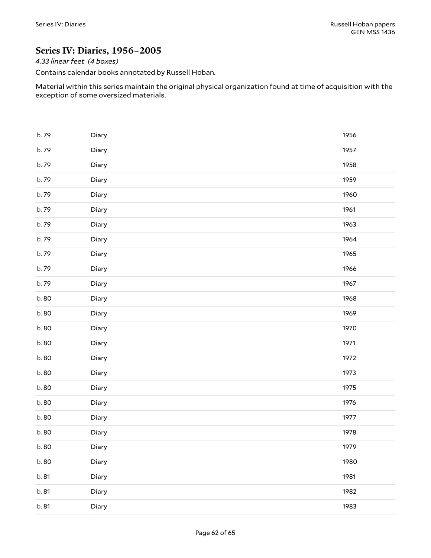### <span id="page-61-0"></span>**Series IV: Diaries, 1956–2005**

*4.33 linear feet (4 boxes)*

Contains calendar books annotated by Russell Hoban.

Material within this series maintain the original physical organization found at time of acquisition with the exception of some oversized materials.

| b.79  | Diary | 1956 |
|-------|-------|------|
| b.79  | Diary | 1957 |
| b.79  | Diary | 1958 |
| b.79  | Diary | 1959 |
| b.79  | Diary | 1960 |
| b.79  | Diary | 1961 |
| b.79  | Diary | 1963 |
| b.79  | Diary | 1964 |
| b.79  | Diary | 1965 |
| b.79  | Diary | 1966 |
| b.79  | Diary | 1967 |
| b.80  | Diary | 1968 |
| b.80  | Diary | 1969 |
| b.80  | Diary | 1970 |
| b.80  | Diary | 1971 |
| b.80  | Diary | 1972 |
| b.80  | Diary | 1973 |
| b.80  | Diary | 1975 |
| b.80  | Diary | 1976 |
| b.80  | Diary | 1977 |
| b.80  | Diary | 1978 |
| b. 80 | Diary | 1979 |
| b.80  | Diary | 1980 |
| b. 81 | Diary | 1981 |
| b. 81 | Diary | 1982 |
| b. 81 | Diary | 1983 |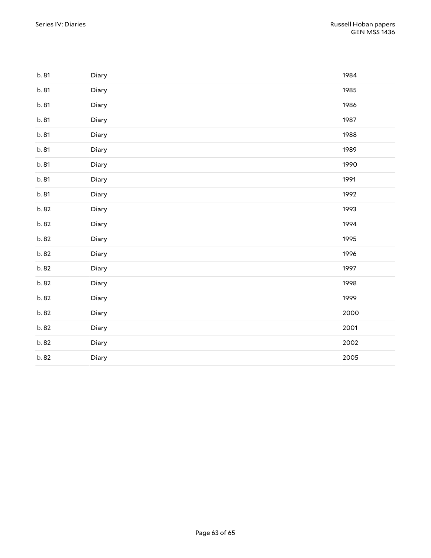| b. 81 | Diary | 1984 |
|-------|-------|------|
| b. 81 | Diary | 1985 |
| b. 81 | Diary | 1986 |
| b. 81 | Diary | 1987 |
| b. 81 | Diary | 1988 |
| b. 81 | Diary | 1989 |
| b. 81 | Diary | 1990 |
| b. 81 | Diary | 1991 |
| b. 81 | Diary | 1992 |
| b. 82 | Diary | 1993 |
| b. 82 | Diary | 1994 |
| b. 82 | Diary | 1995 |
| b. 82 | Diary | 1996 |
| b. 82 | Diary | 1997 |
| b. 82 | Diary | 1998 |
| b. 82 | Diary | 1999 |
| b. 82 | Diary | 2000 |
| b. 82 | Diary | 2001 |
| b. 82 | Diary | 2002 |
| b. 82 | Diary | 2005 |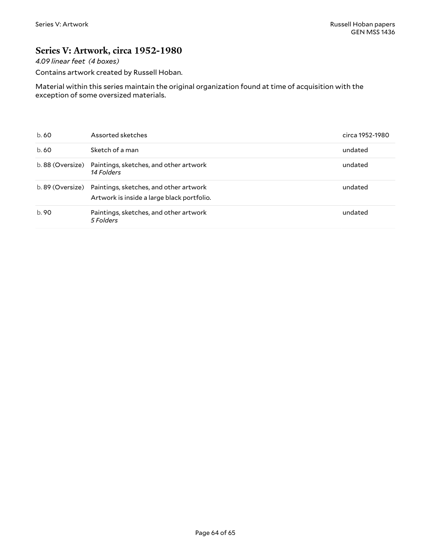### <span id="page-63-0"></span>**Series V: Artwork, circa 1952-1980**

*4.09 linear feet (4 boxes)*

Contains artwork created by Russell Hoban.

Material within this series maintain the original organization found at time of acquisition with the exception of some oversized materials.

| b. 60 | Assorted sketches                                                                                     | circa 1952-1980 |
|-------|-------------------------------------------------------------------------------------------------------|-----------------|
| b. 60 | Sketch of a man                                                                                       | undated         |
|       | b. 88 (Oversize) Paintings, sketches, and other artwork<br>14 Folders                                 | undated         |
|       | b. 89 (Oversize) Paintings, sketches, and other artwork<br>Artwork is inside a large black portfolio. | undated         |
| b.90  | Paintings, sketches, and other artwork<br>5 Folders                                                   | undated         |